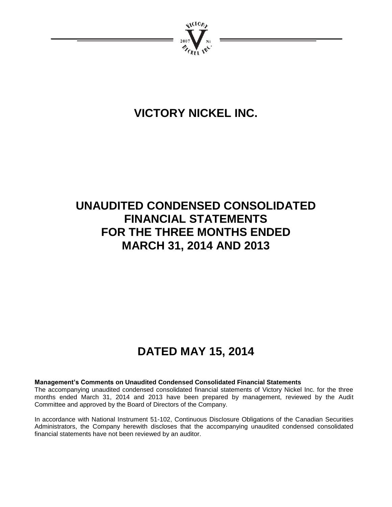

# **VICTORY NICKEL INC.**

# **UNAUDITED CONDENSED CONSOLIDATED FINANCIAL STATEMENTS FOR THE THREE MONTHS ENDED MARCH 31, 2014 AND 2013**

# **DATED MAY 15, 2014**

# **Management's Comments on Unaudited Condensed Consolidated Financial Statements**

The accompanying unaudited condensed consolidated financial statements of Victory Nickel Inc. for the three months ended March 31, 2014 and 2013 have been prepared by management, reviewed by the Audit Committee and approved by the Board of Directors of the Company.

In accordance with National Instrument 51-102, Continuous Disclosure Obligations of the Canadian Securities Administrators, the Company herewith discloses that the accompanying unaudited condensed consolidated financial statements have not been reviewed by an auditor.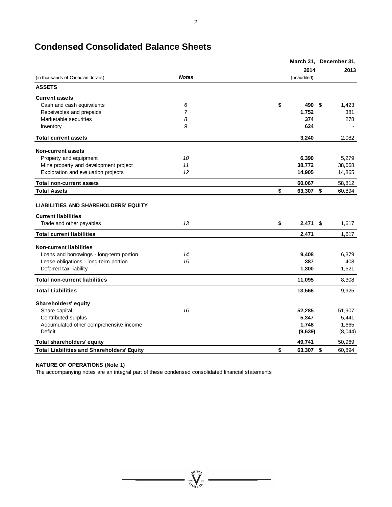|  | <b>Condensed Consolidated Balance Sheets</b> |
|--|----------------------------------------------|
|--|----------------------------------------------|

|                                                                                                       |                | March 31, December 31, |    |         |
|-------------------------------------------------------------------------------------------------------|----------------|------------------------|----|---------|
|                                                                                                       |                | 2014                   |    | 2013    |
| (in thousands of Canadian dollars)                                                                    | <b>Notes</b>   | (unaudited)            |    |         |
| <b>ASSETS</b>                                                                                         |                |                        |    |         |
| <b>Current assets</b>                                                                                 |                |                        |    |         |
| Cash and cash equivalents                                                                             | 6              | \$<br>490              | \$ | 1.423   |
| Receivables and prepaids                                                                              | $\overline{7}$ | 1,752                  |    | 381     |
| Marketable securities                                                                                 | 8              | 374                    |    | 278     |
| Inventory                                                                                             | 9              | 624                    |    |         |
| <b>Total current assets</b>                                                                           |                | 3,240                  |    | 2,082   |
| <b>Non-current assets</b>                                                                             |                |                        |    |         |
| Property and equipment                                                                                | 10             | 6,390                  |    | 5,279   |
| Mine property and development project                                                                 | 11             | 38,772                 |    | 38,668  |
| Exploration and evaluation projects                                                                   | 12             | 14,905                 |    | 14,865  |
| <b>Total non-current assets</b>                                                                       |                | 60,067                 |    | 58,812  |
| <b>Total Assets</b>                                                                                   |                | \$<br>63,307           | \$ | 60,894  |
| <b>LIABILITIES AND SHAREHOLDERS' EQUITY</b><br><b>Current liabilities</b><br>Trade and other payables | 13             | \$<br>$2,471$ \$       |    | 1,617   |
| <b>Total current liabilities</b>                                                                      |                | 2,471                  |    | 1,617   |
|                                                                                                       |                |                        |    |         |
| <b>Non-current liabilities</b>                                                                        |                |                        |    |         |
| Loans and borrowings - long-term portion                                                              | 14             | 9,408                  |    | 6,379   |
| Lease obligations - long-term portion                                                                 | 15             | 387                    |    | 408     |
| Deferred tax liability                                                                                |                | 1,300                  |    | 1,521   |
| <b>Total non-current liabilities</b>                                                                  |                | 11,095                 |    | 8,308   |
| <b>Total Liabilities</b>                                                                              |                | 13,566                 |    | 9,925   |
| <b>Shareholders' equity</b>                                                                           |                |                        |    |         |
| Share capital                                                                                         | 16             | 52,285                 |    | 51,907  |
| Contributed surplus                                                                                   |                | 5,347                  |    | 5,441   |
| Accumulated other comprehensive income                                                                |                | 1,748                  |    | 1,665   |
| Deficit                                                                                               |                | (9,639)                |    | (8,044) |
| Total shareholders' equity                                                                            |                | 49,741                 |    | 50,969  |
| <b>Total Liabilities and Shareholders' Equity</b>                                                     |                | \$<br>63,307           | \$ | 60,894  |

 $=\sum_{\substack{\text{2007}}{\text{y}^{\text{201}}\text{y}^{\text{201}}}}\ldots$ 

#### **NATURE OF OPERATIONS (Note 1)**

The accompanying notes are an integral part of these condensed consolidated financial statements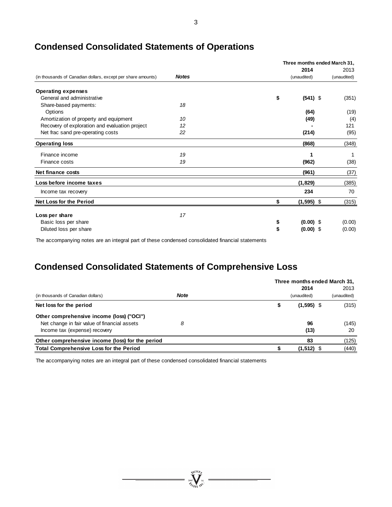|                                                              |              | Three months ended March 31, |              |  |             |  |
|--------------------------------------------------------------|--------------|------------------------------|--------------|--|-------------|--|
|                                                              |              |                              | 2014         |  | 2013        |  |
| (in thousands of Canadian dollars, except per share amounts) | <b>Notes</b> |                              | (unaudited)  |  | (unaudited) |  |
| <b>Operating expenses</b>                                    |              |                              |              |  |             |  |
| General and administrative                                   |              | \$                           | $(541)$ \$   |  | (351)       |  |
| Share-based payments:                                        | 18           |                              |              |  |             |  |
| Options                                                      |              |                              | (64)         |  | (19)        |  |
| Amortization of property and equipment                       | 10           |                              | (49)         |  | (4)         |  |
| Recovery of exploration and evaluation project               | 12           |                              |              |  | 121         |  |
| Net frac sand pre-operating costs                            | 22           |                              | (214)        |  | (95)        |  |
| <b>Operating loss</b>                                        |              |                              | (868)        |  | (348)       |  |
| Finance income                                               | 19           |                              | 1            |  |             |  |
| Finance costs                                                | 19           |                              | (962)        |  | (38)        |  |
| Net finance costs                                            |              |                              | (961)        |  | (37)        |  |
| Loss before income taxes                                     |              |                              | (1,829)      |  | (385)       |  |
| Income tax recovery                                          |              |                              | 234          |  | 70          |  |
| <b>Net Loss for the Period</b>                               |              | \$                           | $(1,595)$ \$ |  | (315)       |  |
| Loss per share                                               | 17           |                              |              |  |             |  |
| Basic loss per share                                         |              | \$                           | $(0.00)$ \$  |  | (0.00)      |  |
| Diluted loss per share                                       |              | \$                           | $(0.00)$ \$  |  | (0.00)      |  |
|                                                              |              |                              |              |  |             |  |

# **Condensed Consolidated Statements of Operations**

The accompanying notes are an integral part of these condensed consolidated financial statements

# **Condensed Consolidated Statements of Comprehensive Loss**

|                                                  |             |                    | Three months ended March 31, |
|--------------------------------------------------|-------------|--------------------|------------------------------|
|                                                  |             | 2014               | 2013                         |
| (in thousands of Canadian dollars)               | <b>Note</b> | (unaudited)        | (unaudited)                  |
| Net loss for the period                          |             | \$<br>$(1,595)$ \$ | (315)                        |
| Other comprehensive income (loss) ("OCI")        |             |                    |                              |
| Net change in fair value of financial assets     | 8           | 96                 | (145)                        |
| Income tax (expense) recovery                    |             | (13)               | 20                           |
| Other comprehensive income (loss) for the period |             | 83                 | (125)                        |
| <b>Total Comprehensive Loss for the Period</b>   |             | $(1,512)$ \$       | (440)                        |

 $\sum_{2007}$ 

The accompanying notes are an integral part of these condensed consolidated financial statements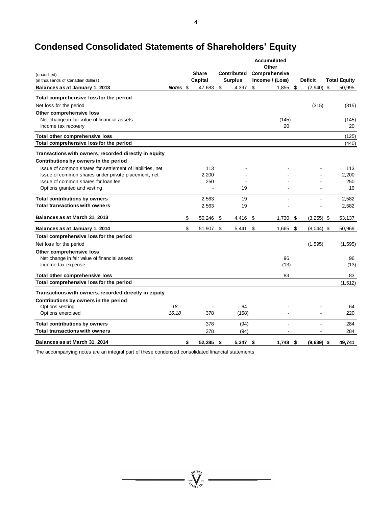# **Condensed Consolidated Statements of Shareholders' Equity**

|                                                           |          |                 |                    | Accumulated<br>Other |                          |                     |
|-----------------------------------------------------------|----------|-----------------|--------------------|----------------------|--------------------------|---------------------|
| (unaudited)                                               |          | <b>Share</b>    | <b>Contributed</b> | Comprehensive        |                          |                     |
| (in thousands of Canadian dollars)                        |          | Capital         | <b>Surplus</b>     | Income / (Loss)      | <b>Deficit</b>           | <b>Total Equity</b> |
| Balances as at January 1, 2013                            | Notes \$ | 47,683          | \$<br>4,397        | \$<br>1,855          | \$<br>(2,940)            | \$<br>50,995        |
| Total comprehensive loss for the period                   |          |                 |                    |                      |                          |                     |
| Net loss for the period                                   |          |                 |                    |                      | (315)                    | (315)               |
| Other comprehensive loss                                  |          |                 |                    |                      |                          |                     |
| Net change in fair value of financial assets              |          |                 |                    | (145)                |                          | (145)               |
| Income tax recovery                                       |          |                 |                    | 20                   |                          | 20                  |
| Total other comprehensive loss                            |          |                 |                    |                      |                          | (125)               |
| Total comprehensive loss for the period                   |          |                 |                    |                      |                          | (440)               |
| Transactions with owners, recorded directly in equity     |          |                 |                    |                      |                          |                     |
| Contributions by owners in the period                     |          |                 |                    |                      |                          |                     |
| Issue of common shares for settlement of liabilities, net |          | 113             |                    |                      |                          | 113                 |
| Issue of common shares under private placement, net       |          | 2,200           |                    |                      |                          | 2,200               |
| Issue of common shares for loan fee                       |          | 250             |                    |                      |                          | 250                 |
| Options granted and vesting                               |          |                 | 19                 |                      |                          | 19                  |
| <b>Total contributions by owners</b>                      |          | 2,563           | 19                 | $\blacksquare$       | $\overline{\phantom{a}}$ | 2,582               |
| <b>Total transactions with owners</b>                     |          | 2,563           | 19                 | $\blacksquare$       | $\blacksquare$           | 2,582               |
| Balances as at March 31, 2013                             |          | \$<br>50,246    | \$<br>4,416 \$     | 1,730                | \$<br>$(3,255)$ \$       | 53,137              |
| Balances as at January 1, 2014                            |          | \$<br>51,907    | \$<br>5,441        | \$<br>1,665          | \$<br>$(8,044)$ \$       | 50,969              |
| Total comprehensive loss for the period                   |          |                 |                    |                      |                          |                     |
| Net loss for the period                                   |          |                 |                    |                      | (1, 595)                 | (1, 595)            |
| Other comprehensive loss                                  |          |                 |                    |                      |                          |                     |
| Net change in fair value of financial assets              |          |                 |                    | 96                   |                          | 96                  |
| Income tax expense                                        |          |                 |                    | (13)                 |                          | (13)                |
| Total other comprehensive loss                            |          |                 |                    | 83                   |                          | 83                  |
| Total comprehensive loss for the period                   |          |                 |                    |                      |                          | (1, 512)            |
| Transactions with owners, recorded directly in equity     |          |                 |                    |                      |                          |                     |
| Contributions by owners in the period                     |          |                 |                    |                      |                          |                     |
| Options vesting                                           | 18       |                 | 64                 |                      |                          | 64                  |
| Options exercised                                         | 16,18    | 378             | (158)              |                      |                          | 220                 |
| <b>Total contributions by owners</b>                      |          | 378             | (94)               | $\blacksquare$       | $\blacksquare$           | 284                 |
| <b>Total transactions with owners</b>                     |          | 378             | (94)               |                      |                          | 284                 |
| Balances as at March 31, 2014                             |          | \$<br>52,285 \$ | 5,347 \$           | $1.748$ \$           | $(9,639)$ \$             | 49,741              |

The accompanying notes are an integral part of these condensed consolidated financial statements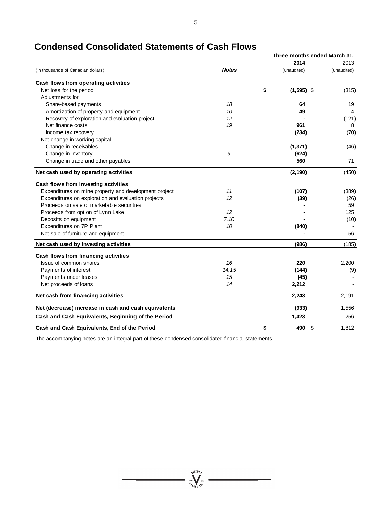|                                                       |              | Three months ended March 31, |             |
|-------------------------------------------------------|--------------|------------------------------|-------------|
|                                                       |              | 2014                         | 2013        |
| (in thousands of Canadian dollars)                    | <b>Notes</b> | (unaudited)                  | (unaudited) |
| Cash flows from operating activities                  |              |                              |             |
| Net loss for the period                               |              | \$<br>$(1,595)$ \$           | (315)       |
| Adjustments for:                                      |              |                              |             |
| Share-based payments                                  | 18           | 64                           | 19          |
| Amortization of property and equipment                | 10           | 49                           | 4           |
| Recovery of exploration and evaluation project        | 12           |                              | (121)       |
| Net finance costs                                     | 19           | 961                          | 8           |
| Income tax recovery                                   |              | (234)                        | (70)        |
| Net change in working capital:                        |              |                              |             |
| Change in receivables                                 |              | (1, 371)                     | (46)        |
| Change in inventory                                   | 9            | (624)                        |             |
| Change in trade and other payables                    |              | 560                          | 71          |
| Net cash used by operating activities                 |              | (2, 190)                     | (450)       |
| Cash flows from investing activities                  |              |                              |             |
| Expenditures on mine property and development project | 11           | (107)                        | (389)       |
| Expenditures on exploration and evaluation projects   | 12           | (39)                         | (26)        |
| Proceeds on sale of marketable securities             |              |                              | 59          |
| Proceeds from option of Lynn Lake                     | 12           |                              | 125         |
| Deposits on equipment                                 | 7,10         |                              | (10)        |
| Expenditures on 7P Plant                              | 10           | (840)                        |             |
| Net sale of furniture and equipment                   |              |                              | 56          |
| Net cash used by investing activities                 |              | (986)                        | (185)       |
| Cash flows from financing activities                  |              |                              |             |
| Issue of common shares                                | 16           | 220                          | 2,200       |
| Payments of interest                                  | 14, 15       | (144)                        | (9)         |
| Payments under leases                                 | 15           | (45)                         |             |
| Net proceeds of loans                                 | 14           | 2,212                        |             |
| Net cash from financing activities                    |              | 2,243                        | 2,191       |
| Net (decrease) increase in cash and cash equivalents  |              | (933)                        | 1,556       |
| Cash and Cash Equivalents, Beginning of the Period    |              | 1,423                        | 256         |
| Cash and Cash Equivalents, End of the Period          |              | \$<br>\$<br>490              | 1,812       |

# **Condensed Consolidated Statements of Cash Flows**

The accompanying notes are an integral part of these condensed consolidated financial statements

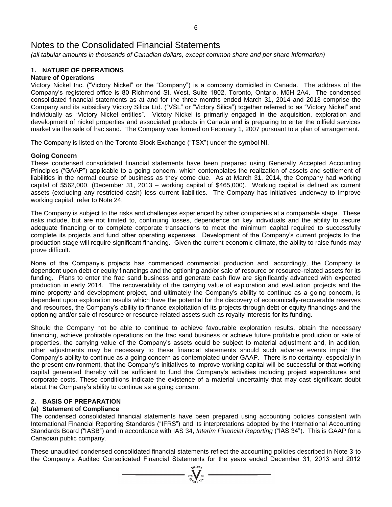*(all tabular amounts in thousands of Canadian dollars, except common share and per share information)*

# **1. NATURE OF OPERATIONS**

# **Nature of Operations**

Victory Nickel Inc. ("Victory Nickel" or the "Company") is a company domiciled in Canada. The address of the Company's registered office is 80 Richmond St. West, Suite 1802, Toronto, Ontario, M5H 2A4. The condensed consolidated financial statements as at and for the three months ended March 31, 2014 and 2013 comprise the Company and its subsidiary Victory Silica Ltd. ("VSL" or "Victory Silica") together referred to as "Victory Nickel" and individually as "Victory Nickel entities". Victory Nickel is primarily engaged in the acquisition, exploration and development of nickel properties and associated products in Canada and is preparing to enter the oilfield services market via the sale of frac sand. The Company was formed on February 1, 2007 pursuant to a plan of arrangement.

The Company is listed on the Toronto Stock Exchange ("TSX") under the symbol NI.

# **Going Concern**

These condensed consolidated financial statements have been prepared using Generally Accepted Accounting Principles ("GAAP") applicable to a going concern, which contemplates the realization of assets and settlement of liabilities in the normal course of business as they come due. As at March 31, 2014, the Company had working capital of \$562,000, (December 31, 2013 – working capital of \$465,000). Working capital is defined as current assets (excluding any restricted cash) less current liabilities. The Company has initiatives underway to improve working capital; refer to Note 24.

The Company is subject to the risks and challenges experienced by other companies at a comparable stage. These risks include, but are not limited to, continuing losses, dependence on key individuals and the ability to secure adequate financing or to complete corporate transactions to meet the minimum capital required to successfully complete its projects and fund other operating expenses. Development of the Company's current projects to the production stage will require significant financing. Given the current economic climate, the ability to raise funds may prove difficult.

None of the Company's projects has commenced commercial production and, accordingly, the Company is dependent upon debt or equity financings and the optioning and/or sale of resource or resource-related assets for its funding. Plans to enter the frac sand business and generate cash flow are significantly advanced with expected production in early 2014. The recoverability of the carrying value of exploration and evaluation projects and the mine property and development project, and ultimately the Company's ability to continue as a going concern, is dependent upon exploration results which have the potential for the discovery of economically-recoverable reserves and resources, the Company's ability to finance exploitation of its projects through debt or equity financings and the optioning and/or sale of resource or resource-related assets such as royalty interests for its funding.

Should the Company not be able to continue to achieve favourable exploration results, obtain the necessary financing, achieve profitable operations on the frac sand business or achieve future profitable production or sale of properties, the carrying value of the Company's assets could be subject to material adjustment and, in addition, other adjustments may be necessary to these financial statements should such adverse events impair the Company's ability to continue as a going concern as contemplated under GAAP. There is no certainty, especially in the present environment, that the Company's initiatives to improve working capital will be successful or that working capital generated thereby will be sufficient to fund the Company's activities including project expenditures and corporate costs. These conditions indicate the existence of a material uncertainty that may cast significant doubt about the Company's ability to continue as a going concern.

# **2. BASIS OF PREPARATION**

# **(a) Statement of Compliance**

The condensed consolidated financial statements have been prepared using accounting policies consistent with International Financial Reporting Standards ("IFRS") and its interpretations adopted by the International Accounting Standards Board ("IASB") and in accordance with IAS 34, *Interim Financial Reporting* ("IAS 34"). This is GAAP for a Canadian public company.

These unaudited condensed consolidated financial statements reflect the accounting policies described in Note 3 to the Company's Audited Consolidated Financial Statements for the years ended December 31, 2013 and 2012

 $\sum_{2007}^{3000} \frac{1}{2}$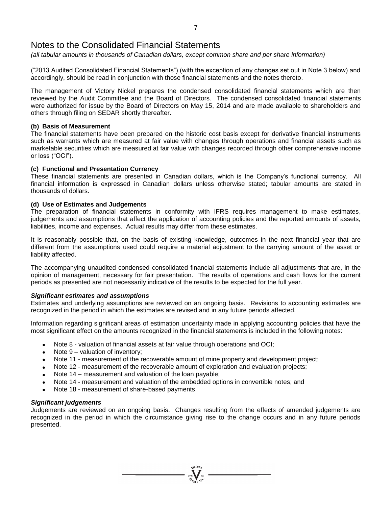*(all tabular amounts in thousands of Canadian dollars, except common share and per share information)*

("2013 Audited Consolidated Financial Statements") (with the exception of any changes set out in Note 3 below) and accordingly, should be read in conjunction with those financial statements and the notes thereto.

The management of Victory Nickel prepares the condensed consolidated financial statements which are then reviewed by the Audit Committee and the Board of Directors. The condensed consolidated financial statements were authorized for issue by the Board of Directors on May 15, 2014 and are made available to shareholders and others through filing on SEDAR shortly thereafter.

## **(b) Basis of Measurement**

The financial statements have been prepared on the historic cost basis except for derivative financial instruments such as warrants which are measured at fair value with changes through operations and financial assets such as marketable securities which are measured at fair value with changes recorded through other comprehensive income or loss ("OCI").

# **(c) Functional and Presentation Currency**

These financial statements are presented in Canadian dollars, which is the Company's functional currency. All financial information is expressed in Canadian dollars unless otherwise stated; tabular amounts are stated in thousands of dollars.

# **(d) Use of Estimates and Judgements**

The preparation of financial statements in conformity with IFRS requires management to make estimates, judgements and assumptions that affect the application of accounting policies and the reported amounts of assets, liabilities, income and expenses. Actual results may differ from these estimates.

It is reasonably possible that, on the basis of existing knowledge, outcomes in the next financial year that are different from the assumptions used could require a material adjustment to the carrying amount of the asset or liability affected.

The accompanying unaudited condensed consolidated financial statements include all adjustments that are, in the opinion of management, necessary for fair presentation. The results of operations and cash flows for the current periods as presented are not necessarily indicative of the results to be expected for the full year.

### *Significant estimates and assumptions*

Estimates and underlying assumptions are reviewed on an ongoing basis. Revisions to accounting estimates are recognized in the period in which the estimates are revised and in any future periods affected.

Information regarding significant areas of estimation uncertainty made in applying accounting policies that have the most significant effect on the amounts recognized in the financial statements is included in the following notes:

- Note 8 valuation of financial assets at fair value through operations and OCI;
- Note 9 valuation of inventory;
- Note 11 measurement of the recoverable amount of mine property and development project;
- Note 12 measurement of the recoverable amount of exploration and evaluation projects;
- Note 14 measurement and valuation of the loan payable;
- Note 14 measurement and valuation of the embedded options in convertible notes; and
- Note 18 measurement of share-based payments.

### *Significant judgements*

Judgements are reviewed on an ongoing basis. Changes resulting from the effects of amended judgements are recognized in the period in which the circumstance giving rise to the change occurs and in any future periods presented.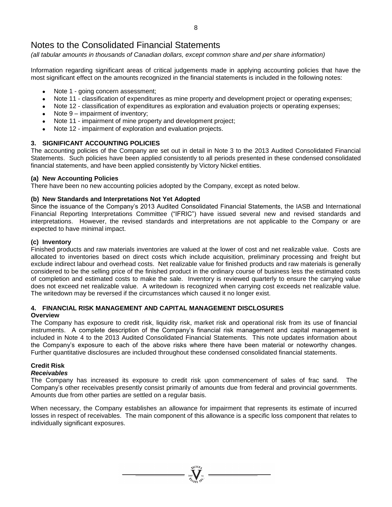*(all tabular amounts in thousands of Canadian dollars, except common share and per share information)*

Information regarding significant areas of critical judgements made in applying accounting policies that have the most significant effect on the amounts recognized in the financial statements is included in the following notes:

- Note 1 going concern assessment;
- Note 11 classification of expenditures as mine property and development project or operating expenses;
- Note 12 classification of expenditures as exploration and evaluation projects or operating expenses;
- Note 9 impairment of inventory;
- Note 11 impairment of mine property and development project;
- Note 12 impairment of exploration and evaluation projects.

# **3. SIGNIFICANT ACCOUNTING POLICIES**

The accounting policies of the Company are set out in detail in Note 3 to the 2013 Audited Consolidated Financial Statements. Such policies have been applied consistently to all periods presented in these condensed consolidated financial statements, and have been applied consistently by Victory Nickel entities.

# **(a) New Accounting Policies**

There have been no new accounting policies adopted by the Company, except as noted below.

# **(b) New Standards and Interpretations Not Yet Adopted**

Since the issuance of the Company's 2013 Audited Consolidated Financial Statements, the IASB and International Financial Reporting Interpretations Committee ("IFRIC") have issued several new and revised standards and interpretations. However, the revised standards and interpretations are not applicable to the Company or are expected to have minimal impact.

# **(c) Inventory**

Finished products and raw materials inventories are valued at the lower of cost and net realizable value. Costs are allocated to inventories based on direct costs which include acquisition, preliminary processing and freight but exclude indirect labour and overhead costs. Net realizable value for finished products and raw materials is generally considered to be the selling price of the finished product in the ordinary course of business less the estimated costs of completion and estimated costs to make the sale. Inventory is reviewed quarterly to ensure the carrying value does not exceed net realizable value. A writedown is recognized when carrying cost exceeds net realizable value. The writedown may be reversed if the circumstances which caused it no longer exist.

# **4. FINANCIAL RISK MANAGEMENT AND CAPITAL MANAGEMENT DISCLOSURES**

### **Overview**

The Company has exposure to credit risk, liquidity risk, market risk and operational risk from its use of financial instruments. A complete description of the Company's financial risk management and capital management is included in Note 4 to the 2013 Audited Consolidated Financial Statements. This note updates information about the Company's exposure to each of the above risks where there have been material or noteworthy changes. Further quantitative disclosures are included throughout these condensed consolidated financial statements.

# **Credit Risk**

# *Receivables*

The Company has increased its exposure to credit risk upon commencement of sales of frac sand. The Company's other receivables presently consist primarily of amounts due from federal and provincial governments. Amounts due from other parties are settled on a regular basis.

When necessary, the Company establishes an allowance for impairment that represents its estimate of incurred losses in respect of receivables. The main component of this allowance is a specific loss component that relates to individually significant exposures.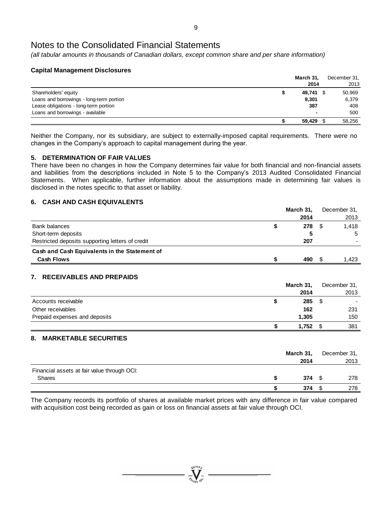*(all tabular amounts in thousands of Canadian dollars, except common share and per share information)*

# **Capital Management Disclosures**

|                                          | March 31,                | December 31, |
|------------------------------------------|--------------------------|--------------|
|                                          | 2014                     | 2013         |
| Shareholders' equity                     | 49,741 \$                | 50,969       |
| Loans and borrowings - long-term portion | 9.301                    | 6,379        |
| Lease obligations - long-term portion    | 387                      | 408          |
| Loans and borrowings - available         | $\overline{\phantom{a}}$ | 500          |
|                                          | 59.429                   | 58.256       |

Neither the Company, nor its subsidiary, are subject to externally-imposed capital requirements. There were no changes in the Company's approach to capital management during the year.

# **5. DETERMINATION OF FAIR VALUES**

There have been no changes in how the Company determines fair value for both financial and non-financial assets and liabilities from the descriptions included in Note 5 to the Company's 2013 Audited Consolidated Financial Statements. When applicable, further information about the assumptions made in determining fair values is disclosed in the notes specific to that asset or liability.

# **6. CASH AND CASH EQUIVALENTS**

|                                                  | March 31, |      | December 31, |
|--------------------------------------------------|-----------|------|--------------|
|                                                  | 2014      |      | 2013         |
| Bank balances                                    | 278       | - \$ | 1.418        |
| Short-term deposits                              |           |      | 5            |
| Restricted deposits supporting letters of credit | 207       |      |              |
| Cash and Cash Equivalents in the Statement of    |           |      |              |
| <b>Cash Flows</b>                                | 490       |      | 1.423        |

# **7. RECEIVABLES AND PREPAIDS**

|                               | March 31, |      | December 31. |
|-------------------------------|-----------|------|--------------|
|                               | 2014      |      | 2013         |
| Accounts receivable           | 285       | - \$ |              |
| Other receivables             | 162       |      | 231          |
| Prepaid expenses and deposits | 1,305     |      | 150          |
|                               | 1.752     |      | 381          |

# **8. MARKETABLE SECURITIES**

|                                                       | March 31,<br>2014 |   | December 31,<br>2013 |
|-------------------------------------------------------|-------------------|---|----------------------|
| Financial assets at fair value through OCI:<br>Shares | 374               | S | 278                  |
|                                                       | 374               |   | 278                  |

The Company records its portfolio of shares at available market prices with any difference in fair value compared with acquisition cost being recorded as gain or loss on financial assets at fair value through OCI.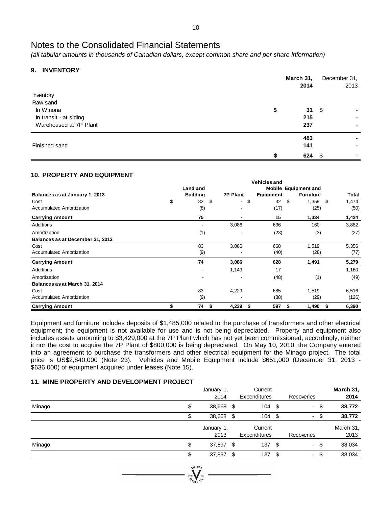*(all tabular amounts in thousands of Canadian dollars, except common share and per share information)*

# **9. INVENTORY**

|                        | March 31, | December 31, |      |
|------------------------|-----------|--------------|------|
|                        | 2014      |              | 2013 |
| Inventory              |           |              |      |
| Raw sand               |           |              |      |
| In Winona              | \$<br>31  | - \$         |      |
| In transit - at siding | 215       |              |      |
| Warehoused at 7P Plant | 237       |              |      |
|                        | 483       |              |      |
| Finished sand          | 141       |              |      |
|                        | 624       | - \$         |      |

# **10. PROPERTY AND EQUIPMENT**

|                                  |                 |                                | <b>Vehicles and</b> |                             |             |
|----------------------------------|-----------------|--------------------------------|---------------------|-----------------------------|-------------|
|                                  | Land and        |                                |                     | <b>Mobile Equipment and</b> |             |
| Balances as at January 1, 2013   | <b>Building</b> | <b>7P Plant</b>                | Equipment           | <b>Furniture</b>            | Total       |
| Cost                             | \$<br>\$<br>83  | \$<br>$\overline{\phantom{a}}$ | 32                  | \$<br>1,359                 | \$<br>1,474 |
| Accumulated Amortization         | (8)             |                                | (17)                | (25)                        | (50)        |
| <b>Carrying Amount</b>           | 75              | $\blacksquare$                 | 15                  | 1,334                       | 1,424       |
| Additions                        |                 | 3,086                          | 636                 | 160                         | 3,882       |
| Amortization                     | (1)             |                                | (23)                | (3)                         | (27)        |
| Balances as at December 31, 2013 |                 |                                |                     |                             |             |
| Cost                             | 83              | 3,086                          | 668                 | 1,519                       | 5,356       |
| Accumulated Amortization         | (9)             |                                | (40)                | (28)                        | (77)        |
| <b>Carrying Amount</b>           | 74              | 3,086                          | 628                 | 1,491                       | 5,279       |
| Additions                        |                 | 1,143                          | 17                  |                             | 1,160       |
| Amortization                     |                 |                                | (48)                | (1)                         | (49)        |
| Balances as at March 31, 2014    |                 |                                |                     |                             |             |
| Cost                             | 83              | 4,229                          | 685                 | 1,519                       | 6,516       |
| Accumulated Amortization         | (9)             |                                | (88)                | (29)                        | (126)       |
| <b>Carrying Amount</b>           | 74<br>- \$      | 4,229<br>S                     | 597                 | 1,490<br>5                  | 6,390<br>\$ |

Equipment and furniture includes deposits of \$1,485,000 related to the purchase of transformers and other electrical equipment; the equipment is not available for use and is not being depreciated. Property and equipment also includes assets amounting to \$3,429,000 at the 7P Plant which has not yet been commissioned, accordingly, neither it nor the cost to acquire the 7P Plant of \$800,000 is being depreciated. On May 10, 2010, the Company entered into an agreement to purchase the transformers and other electrical equipment for the Minago project. The total price is US\$2,840,000 (Note 23). Vehicles and Mobile Equipment include \$651,000 (December 31, 2013 - \$636,000) of equipment acquired under leases (Note 15).

## **11. MINE PROPERTY AND DEVELOPMENT PROJECT**

|        | January 1,<br>2014 | Current<br>Expenditures |      | Recoveries     |      | March 31,<br>2014 |
|--------|--------------------|-------------------------|------|----------------|------|-------------------|
| Minago | \$<br>38,668 \$    | $104 \text{ } $$        |      |                | - \$ | 38,772            |
|        | 38,668 \$          | $104 - $$               |      | -              |      | 38,772            |
|        | January 1,<br>2013 | Current<br>Expenditures |      | Recoveries     |      | March 31,<br>2013 |
| Minago | \$<br>37,897 \$    | 137S                    |      |                | - \$ | 38,034            |
|        | 37,897 \$          | 137                     | - \$ | $\blacksquare$ |      | 38,034            |
|        |                    |                         |      |                |      |                   |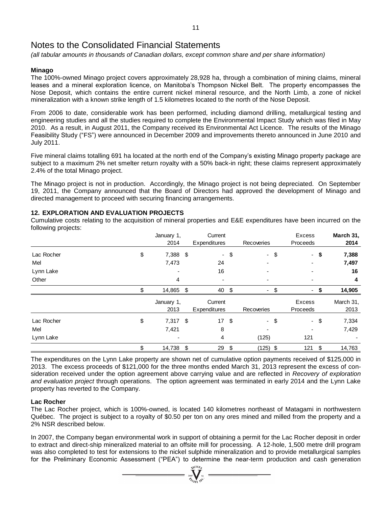*(all tabular amounts in thousands of Canadian dollars, except common share and per share information)*

# **Minago**

The 100%-owned Minago project covers approximately 28,928 ha, through a combination of mining claims, mineral leases and a mineral exploration licence, on Manitoba's Thompson Nickel Belt. The property encompasses the Nose Deposit, which contains the entire current nickel mineral resource, and the North Limb, a zone of nickel mineralization with a known strike length of 1.5 kilometres located to the north of the Nose Deposit.

From 2006 to date, considerable work has been performed, including diamond drilling, metallurgical testing and engineering studies and all the studies required to complete the Environmental Impact Study which was filed in May 2010. As a result, in August 2011, the Company received its Environmental Act Licence. The results of the Minago Feasibility Study ("FS") were announced in December 2009 and improvements thereto announced in June 2010 and July 2011.

Five mineral claims totalling 691 ha located at the north end of the Company's existing Minago property package are subject to a maximum 2% net smelter return royalty with a 50% back-in right; these claims represent approximately 2.4% of the total Minago project.

The Minago project is not in production. Accordingly, the Minago project is not being depreciated. On September 19, 2011, the Company announced that the Board of Directors had approved the development of Minago and directed management to proceed with securing financing arrangements.

# **12. EXPLORATION AND EVALUATION PROJECTS**

Cumulative costs relating to the acquisition of mineral properties and E&E expenditures have been incurred on the following projects:

|            | January 1,<br>2014 |     | Current<br>Expenditures |        | Recoveries | Excess<br>Proceeds |        | March 31,<br>2014 |
|------------|--------------------|-----|-------------------------|--------|------------|--------------------|--------|-------------------|
| Lac Rocher | \$<br>7,388 \$     |     |                         | $-$ \$ | $-$ \$     |                    | - \$   | 7,388             |
| Mel        | 7,473              |     | 24                      |        |            |                    |        | 7,497             |
| Lynn Lake  |                    |     | 16                      |        |            |                    |        | 16                |
| Other      | 4                  |     |                         |        |            |                    |        | 4                 |
|            | 14,865             | -\$ | 40                      | \$     | ۰          | \$<br>٠            | S      | 14,905            |
|            | January 1,<br>2013 |     | Current<br>Expenditures |        | Recoveries | Excess<br>Proceeds |        | March 31,<br>2013 |
| Lac Rocher | \$<br>$7,317$ \$   |     | 17 <sup>2</sup>         | \$     | - \$       |                    | $-$ \$ | 7,334             |
| Mel        | 7,421              |     | 8                       |        |            |                    |        | 7,429             |
| Lynn Lake  |                    |     | 4                       |        | (125)      | 121                |        |                   |
|            | \$<br>14,738 \$    |     | 29                      | \$     | $(125)$ \$ | 121                | \$     | 14,763            |

The expenditures on the Lynn Lake property are shown net of cumulative option payments received of \$125,000 in 2013. The excess proceeds of \$121,000 for the three months ended March 31, 2013 represent the excess of consideration received under the option agreement above carrying value and are reflected in *Recovery of exploration and evaluation project* through operations. The option agreement was terminated in early 2014 and the Lynn Lake property has reverted to the Company.

# **Lac Rocher**

The Lac Rocher project, which is 100%-owned, is located 140 kilometres northeast of Matagami in northwestern Québec. The project is subject to a royalty of \$0.50 per ton on any ores mined and milled from the property and a 2% NSR described below.

In 2007, the Company began environmental work in support of obtaining a permit for the Lac Rocher deposit in order to extract and direct-ship mineralized material to an offsite mill for processing. A 12-hole, 1,500 metre drill program was also completed to test for extensions to the nickel sulphide mineralization and to provide metallurgical samples for the Preliminary Economic Assessment ("PEA") to determine the near-term production and cash generation

 $\sum_{2007}$  Well  $\sum_{N=1}^{N^{(10)}(0)}$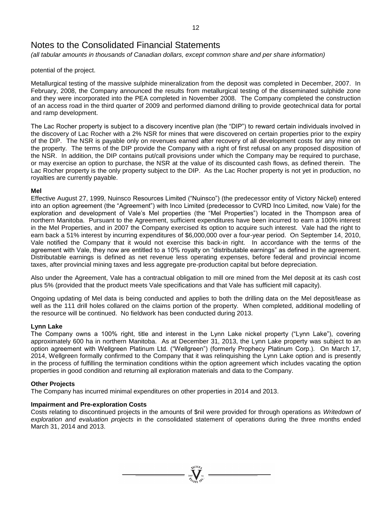*(all tabular amounts in thousands of Canadian dollars, except common share and per share information)*

potential of the project.

Metallurgical testing of the massive sulphide mineralization from the deposit was completed in December, 2007. In February, 2008, the Company announced the results from metallurgical testing of the disseminated sulphide zone and they were incorporated into the PEA completed in November 2008. The Company completed the construction of an access road in the third quarter of 2009 and performed diamond drilling to provide geotechnical data for portal and ramp development.

The Lac Rocher property is subject to a discovery incentive plan (the "DIP") to reward certain individuals involved in the discovery of Lac Rocher with a 2% NSR for mines that were discovered on certain properties prior to the expiry of the DIP. The NSR is payable only on revenues earned after recovery of all development costs for any mine on the property. The terms of the DIP provide the Company with a right of first refusal on any proposed disposition of the NSR. In addition, the DIP contains put/call provisions under which the Company may be required to purchase, or may exercise an option to purchase, the NSR at the value of its discounted cash flows, as defined therein. The Lac Rocher property is the only property subject to the DIP. As the Lac Rocher property is not yet in production, no royalties are currently payable.

# **Mel**

Effective August 27, 1999, Nuinsco Resources Limited ("Nuinsco") (the predecessor entity of Victory Nickel) entered into an option agreement (the "Agreement") with Inco Limited (predecessor to CVRD Inco Limited, now Vale) for the exploration and development of Vale's Mel properties (the "Mel Properties") located in the Thompson area of northern Manitoba. Pursuant to the Agreement, sufficient expenditures have been incurred to earn a 100% interest in the Mel Properties, and in 2007 the Company exercised its option to acquire such interest. Vale had the right to earn back a 51% interest by incurring expenditures of \$6,000,000 over a four-year period. On September 14, 2010, Vale notified the Company that it would not exercise this back-in right. In accordance with the terms of the agreement with Vale, they now are entitled to a 10% royalty on "distributable earnings" as defined in the agreement. Distributable earnings is defined as net revenue less operating expenses, before federal and provincial income taxes, after provincial mining taxes and less aggregate pre-production capital but before depreciation.

Also under the Agreement, Vale has a contractual obligation to mill ore mined from the Mel deposit at its cash cost plus 5% (provided that the product meets Vale specifications and that Vale has sufficient mill capacity).

Ongoing updating of Mel data is being conducted and applies to both the drilling data on the Mel deposit/lease as well as the 111 drill holes collared on the claims portion of the property. When completed, additional modelling of the resource will be continued. No fieldwork has been conducted during 2013.

### **Lynn Lake**

The Company owns a 100% right, title and interest in the Lynn Lake nickel property ("Lynn Lake"), covering approximately 600 ha in northern Manitoba. As at December 31, 2013, the Lynn Lake property was subject to an option agreement with Wellgreen Platinum Ltd. ("Wellgreen") (formerly Prophecy Platinum Corp.). On March 17, 2014, Wellgreen formally confirmed to the Company that it was relinquishing the Lynn Lake option and is presently in the process of fulfilling the termination conditions within the option agreement which includes vacating the option properties in good condition and returning all exploration materials and data to the Company.

# **Other Projects**

The Company has incurred minimal expenditures on other properties in 2014 and 2013.

### **Impairment and Pre-exploration Costs**

Costs relating to discontinued projects in the amounts of \$nil were provided for through operations as *Writedown of exploration and evaluation projects* in the consolidated statement of operations during the three months ended March 31, 2014 and 2013.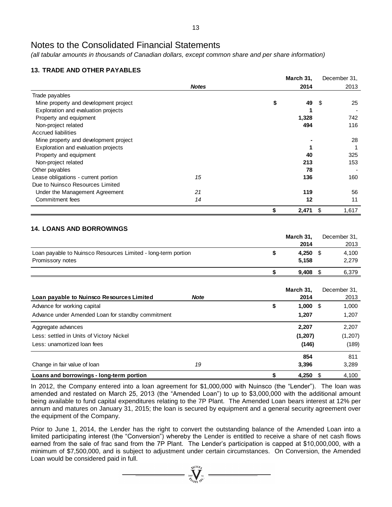*(all tabular amounts in thousands of Canadian dollars, except common share and per share information)*

# **13. TRADE AND OTHER PAYABLES**

|                                       |              | March 31,   | December 31, |       |
|---------------------------------------|--------------|-------------|--------------|-------|
|                                       | <b>Notes</b> | 2014        |              | 2013  |
| Trade payables                        |              |             |              |       |
| Mine property and development project |              | \$<br>49    | - \$         | 25    |
| Exploration and evaluation projects   |              |             |              |       |
| Property and equipment                |              | 1,328       |              | 742   |
| Non-project related                   |              | 494         |              | 116   |
| <b>Accrued liabilities</b>            |              |             |              |       |
| Mine property and development project |              |             |              | 28    |
| Exploration and evaluation projects   |              |             |              |       |
| Property and equipment                |              | 40          |              | 325   |
| Non-project related                   |              | 213         |              | 153   |
| Other payables                        |              | 78          |              |       |
| Lease obligations - current portion   | 15           | 136         |              | 160   |
| Due to Nuinsco Resources Limited      |              |             |              |       |
| Under the Management Agreement        | 21           | 119         |              | 56    |
| Commitment fees                       | 14           | 12          |              | 11    |
|                                       |              | \$<br>2,471 | \$           | 1,617 |

# **14. LOANS AND BORROWINGS**

|                                                               | March 31, | December 31, |
|---------------------------------------------------------------|-----------|--------------|
|                                                               | 2014      | 2013         |
| Loan payable to Nuinsco Resources Limited - long-term portion | 4.250     | 4.100        |
| Promissory notes                                              | 5.158     | 2,279        |
|                                                               | 9.408     | 6,379        |

| Loan payable to Nuinsco Resources Limited         | <b>Note</b> | March 31.<br>2014 | December 31.<br>2013 |
|---------------------------------------------------|-------------|-------------------|----------------------|
| Advance for working capital                       |             | \$<br>1,000       | 1,000<br>- \$        |
| Advance under Amended Loan for standby commitment |             | 1.207             | 1,207                |
| Aggregate advances                                |             | 2.207             | 2,207                |
| Less: settled in Units of Victory Nickel          |             | (1,207)           | (1, 207)             |
| Less: unamortized loan fees                       |             | (146)             | (189)                |
|                                                   |             | 854               | 811                  |
| Change in fair value of loan                      | 19          | 3,396             | 3.289                |
| Loans and borrowings - long-term portion          |             | \$<br>4,250       | 4,100<br>S           |

In 2012, the Company entered into a loan agreement for \$1,000,000 with Nuinsco (the "Lender"). The loan was amended and restated on March 25, 2013 (the "Amended Loan") to up to \$3,000,000 with the additional amount being available to fund capital expenditures relating to the 7P Plant. The Amended Loan bears interest at 12% per annum and matures on January 31, 2015; the loan is secured by equipment and a general security agreement over the equipment of the Company.

Prior to June 1, 2014, the Lender has the right to convert the outstanding balance of the Amended Loan into a limited participating interest (the "Conversion") whereby the Lender is entitled to receive a share of net cash flows earned from the sale of frac sand from the 7P Plant. The Lender's participation is capped at \$10,000,000, with a minimum of \$7,500,000, and is subject to adjustment under certain circumstances. On Conversion, the Amended Loan would be considered paid in full.

 $\sum_{2007}$  Well We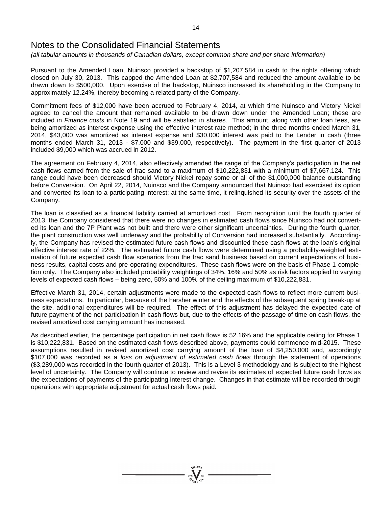*(all tabular amounts in thousands of Canadian dollars, except common share and per share information)*

Pursuant to the Amended Loan, Nuinsco provided a backstop of \$1,207,584 in cash to the rights offering which closed on July 30, 2013. This capped the Amended Loan at \$2,707,584 and reduced the amount available to be drawn down to \$500,000. Upon exercise of the backstop, Nuinsco increased its shareholding in the Company to approximately 12.24%, thereby becoming a related party of the Company.

Commitment fees of \$12,000 have been accrued to February 4, 2014, at which time Nuinsco and Victory Nickel agreed to cancel the amount that remained available to be drawn down under the Amended Loan; these are included in *Finance costs* in Note 19 and will be satisfied in shares. This amount, along with other loan fees, are being amortized as interest expense using the effective interest rate method; in the three months ended March 31, 2014, \$43,000 was amortized as interest expense and \$30,000 interest was paid to the Lender in cash (three months ended March 31, 2013 - \$7,000 and \$39,000, respectively). The payment in the first quarter of 2013 included \$9,000 which was accrued in 2012.

The agreement on February 4, 2014, also effectively amended the range of the Company's participation in the net cash flows earned from the sale of frac sand to a maximum of \$10,222,831 with a minimum of \$7,667,124. This range could have been decreased should Victory Nickel repay some or all of the \$1,000,000 balance outstanding before Conversion. On April 22, 2014, Nuinsco and the Company announced that Nuinsco had exercised its option and converted its loan to a participating interest; at the same time, it relinquished its security over the assets of the Company.

The loan is classified as a financial liability carried at amortized cost. From recognition until the fourth quarter of 2013, the Company considered that there were no changes in estimated cash flows since Nuinsco had not converted its loan and the 7P Plant was not built and there were other significant uncertainties. During the fourth quarter, the plant construction was well underway and the probability of Conversion had increased substantially. Accordingly, the Company has revised the estimated future cash flows and discounted these cash flows at the loan's original effective interest rate of 22%. The estimated future cash flows were determined using a probability-weighted estimation of future expected cash flow scenarios from the frac sand business based on current expectations of business results, capital costs and pre-operating expenditures. These cash flows were on the basis of Phase 1 completion only. The Company also included probability weightings of 34%, 16% and 50% as risk factors applied to varying levels of expected cash flows – being zero, 50% and 100% of the ceiling maximum of \$10,222,831.

Effective March 31, 2014, certain adjustments were made to the expected cash flows to reflect more current business expectations. In particular, because of the harsher winter and the effects of the subsequent spring break-up at the site, additional expenditures will be required. The effect of this adjustment has delayed the expected date of future payment of the net participation in cash flows but, due to the effects of the passage of time on cash flows, the revised amortized cost carrying amount has increased.

As described earlier, the percentage participation in net cash flows is 52.16% and the applicable ceiling for Phase 1 is \$10,222,831. Based on the estimated cash flows described above, payments could commence mid-2015. These assumptions resulted in revised amortized cost carrying amount of the loan of \$4,250,000 and, accordingly \$107,000 was recorded as a *loss on adjustment of estimated cash flows* through the statement of operations (\$3,289,000 was recorded in the fourth quarter of 2013). This is a Level 3 methodology and is subject to the highest level of uncertainty. The Company will continue to review and revise its estimates of expected future cash flows as the expectations of payments of the participating interest change. Changes in that estimate will be recorded through operations with appropriate adjustment for actual cash flows paid.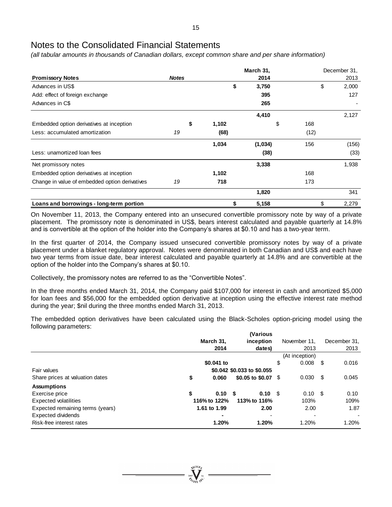*(all tabular amounts in thousands of Canadian dollars, except common share and per share information)*

|                                                |              |             | March 31, | December 31, |      |    |       |  |
|------------------------------------------------|--------------|-------------|-----------|--------------|------|----|-------|--|
| <b>Promissory Notes</b>                        | <b>Notes</b> |             | 2014      |              |      |    | 2013  |  |
| Advances in US\$                               |              | \$          | 3,750     |              |      | \$ | 2,000 |  |
| Add: effect of foreign exchange                |              |             | 395       |              |      |    | 127   |  |
| Advances in C\$                                |              |             | 265       |              |      |    |       |  |
|                                                |              |             | 4,410     |              |      |    | 2,127 |  |
| Embedded option derivatives at inception       |              | \$<br>1,102 |           | \$           | 168  |    |       |  |
| Less: accumulated amortization                 | 19           | (68)        |           |              | (12) |    |       |  |
|                                                |              | 1,034       | (1,034)   |              | 156  |    | (156) |  |
| Less: unamortized loan fees                    |              |             | (38)      |              |      |    | (33)  |  |
| Net promissory notes                           |              |             | 3,338     |              |      |    | 1,938 |  |
| Embedded option derivatives at inception       |              | 1,102       |           |              | 168  |    |       |  |
| Change in value of embedded option derivatives | 19           | 718         |           |              | 173  |    |       |  |
|                                                |              |             | 1,820     |              |      |    | 341   |  |
| Loans and borrowings - long-term portion       |              | \$          | 5,158     |              |      | \$ | 2,279 |  |

On November 11, 2013, the Company entered into an unsecured convertible promissory note by way of a private placement. The promissory note is denominated in US\$, bears interest calculated and payable quarterly at 14.8% and is convertible at the option of the holder into the Company's shares at \$0.10 and has a two-year term.

In the first quarter of 2014, the Company issued unsecured convertible promissory notes by way of a private placement under a blanket regulatory approval. Notes were denominated in both Canadian and US\$ and each have two year terms from issue date, bear interest calculated and payable quarterly at 14.8% and are convertible at the option of the holder into the Company's shares at \$0.10.

Collectively, the promissory notes are referred to as the "Convertible Notes".

In the three months ended March 31, 2014, the Company paid \$107,000 for interest in cash and amortized \$5,000 for loan fees and \$56,000 for the embedded option derivative at inception using the effective interest rate method during the year; \$nil during the three months ended March 31, 2013.

The embedded option derivatives have been calculated using the Black-Scholes option-pricing model using the following parameters:

|                                  |                | (Various                   |        |                |      |                          |
|----------------------------------|----------------|----------------------------|--------|----------------|------|--------------------------|
|                                  | March 31,      | inception                  |        | November 11.   |      | December 31,             |
|                                  | 2014           | dates)                     |        | 2013           |      | 2013                     |
|                                  |                |                            |        | (At inception) |      |                          |
|                                  | \$0.041 to     |                            | \$     | 0.008          | - \$ | 0.016                    |
| Fair values                      |                | \$0.042 \$0.033 to \$0.055 |        |                |      |                          |
| Share prices at valuation dates  | \$<br>0.060    | \$0.05 to \$0.07 \$        |        | 0.030          | - \$ | 0.045                    |
| <b>Assumptions</b>               |                |                            |        |                |      |                          |
| Exercise price                   | \$<br>$0.10-5$ |                            | 0.10 S | $0.10 \,$ \$   |      | 0.10                     |
| <b>Expected volatilities</b>     | 116% to 122%   | 113% to 116%               |        | 103%           |      | 109%                     |
| Expected remaining terms (years) | 1.61 to 1.99   |                            | 2.00   | 2.00           |      | 1.87                     |
| Expected dividends               |                |                            |        |                |      | $\overline{\phantom{a}}$ |
| Risk-free interest rates         | 1.20%          |                            | 1.20%  | 1.20%          |      | 1.20%                    |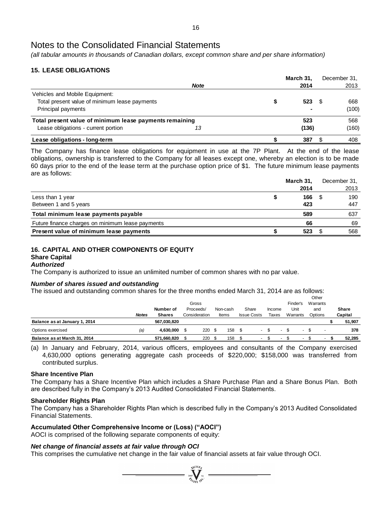*(all tabular amounts in thousands of Canadian dollars, except common share and per share information)*

# **15. LEASE OBLIGATIONS**

|                                                         |             | March 31. | December 31. |
|---------------------------------------------------------|-------------|-----------|--------------|
|                                                         | <b>Note</b> | 2014      | 2013         |
| Vehicles and Mobile Equipment:                          |             |           |              |
| Total present value of minimum lease payments           |             | 523       | 668          |
| Principal payments                                      |             |           | (100)        |
| Total present value of minimum lease payments remaining |             | 523       | 568          |
| Lease obligations - current portion                     | 13          | (136)     | (160)        |
| Lease obligations - long-term                           |             | 387       | 408          |

The Company has finance lease obligations for equipment in use at the 7P Plant. At the end of the lease obligations, ownership is transferred to the Company for all leases except one, whereby an election is to be made 60 days prior to the end of the lease term at the purchase option price of \$1. The future minimum lease payments are as follows:

|                                                  | March 31, | December 31, |
|--------------------------------------------------|-----------|--------------|
|                                                  | 2014      | 2013         |
| Less than 1 year                                 | 166       | 190          |
| Between 1 and 5 years                            | 423       | 447          |
| Total minimum lease payments payable             | 589       | 637          |
| Future finance charges on minimum lease payments | 66        | 69           |
| Present value of minimum lease payments          | 523       | 568          |

#### **16. CAPITAL AND OTHER COMPONENTS OF EQUITY Share Capital**

# *Authorized*

The Company is authorized to issue an unlimited number of common shares with no par value.

### *Number of shares issued and outstanding*

The issued and outstanding common shares for the three months ended March 31, 2014 are as follows:

|                               |              |               |               |          |      |                    |        |       |    |                          | Other    |              |
|-------------------------------|--------------|---------------|---------------|----------|------|--------------------|--------|-------|----|--------------------------|----------|--------------|
|                               |              |               | Gross         |          |      |                    |        |       |    | Finder's                 | Warrants |              |
|                               |              | Number of     | Proceeds/     | Non-cash |      | Share              | Income |       |    | Unit                     | and      | <b>Share</b> |
|                               | <b>Notes</b> | <b>Shares</b> | Consideration | Items    |      | <b>Issue Costs</b> |        | Taxes |    | Warrants                 | Options  | Capital      |
| Balance as at January 1, 2014 |              | 567.030.820   |               |          |      |                    |        |       |    |                          |          | 51,907       |
| Options exercised             | (a)          | 4.630.000     | 220S          | 158      | - \$ | $\sim$             |        |       | £. | $\overline{\phantom{a}}$ |          | 378          |
| Balance as at March 31, 2014  |              | 571,660,820   | 220           | 158      |      |                    |        |       |    | . .                      | . .      | 52.285       |

(a) In January and February, 2014, various officers, employees and consultants of the Company exercised 4,630,000 options generating aggregate cash proceeds of \$220,000; \$158,000 was transferred from contributed surplus.

### **Share Incentive Plan**

The Company has a Share Incentive Plan which includes a Share Purchase Plan and a Share Bonus Plan. Both are described fully in the Company's 2013 Audited Consolidated Financial Statements.

### **Shareholder Rights Plan**

The Company has a Shareholder Rights Plan which is described fully in the Company's 2013 Audited Consolidated Financial Statements.

 $\sum_{2007}$ 

### **Accumulated Other Comprehensive Income or (Loss) ("AOCI")**

AOCI is comprised of the following separate components of equity:

### *Net change of financial assets at fair value through OCI*

This comprises the cumulative net change in the fair value of financial assets at fair value through OCI.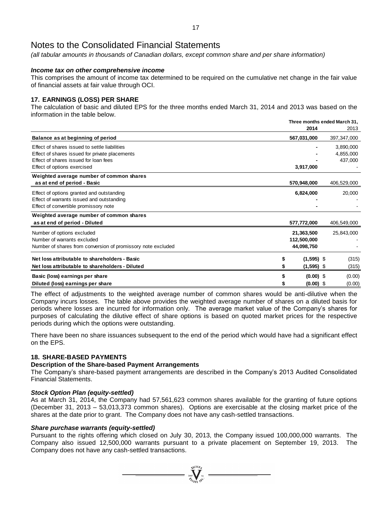*(all tabular amounts in thousands of Canadian dollars, except common share and per share information)*

# *Income tax on other comprehensive income*

This comprises the amount of income tax determined to be required on the cumulative net change in the fair value of financial assets at fair value through OCI.

# **17. EARNINGS (LOSS) PER SHARE**

The calculation of basic and diluted EPS for the three months ended March 31, 2014 and 2013 was based on the information in the table below.

|                                                              |              | Three months ended March 31. |             |  |  |  |
|--------------------------------------------------------------|--------------|------------------------------|-------------|--|--|--|
|                                                              | 2014         |                              | 2013        |  |  |  |
| Balance as at beginning of period                            | 567,031,000  |                              | 397,347,000 |  |  |  |
| Effect of shares issued to settle liabilities                |              |                              | 3,890,000   |  |  |  |
| Effect of shares issued for private placements               |              |                              | 4,855,000   |  |  |  |
| Effect of shares issued for loan fees                        |              |                              | 437,000     |  |  |  |
| Effect of options exercised                                  | 3,917,000    |                              |             |  |  |  |
| Weighted average number of common shares                     |              |                              |             |  |  |  |
| as at end of period - Basic                                  | 570,948,000  |                              | 406,529,000 |  |  |  |
| Effect of options granted and outstanding                    | 6,824,000    |                              | 20,000      |  |  |  |
| Effect of warrants issued and outstanding                    |              |                              |             |  |  |  |
| Effect of convertible promissory note                        |              |                              |             |  |  |  |
| Weighted average number of common shares                     |              |                              |             |  |  |  |
| as at end of period - Diluted                                | 577,772,000  |                              | 406,549,000 |  |  |  |
| Number of options excluded                                   | 21,363,500   |                              | 25,843,000  |  |  |  |
| Number of warrants excluded                                  | 112,500,000  |                              |             |  |  |  |
| Number of shares from conversion of promissory note excluded | 44,098,750   |                              |             |  |  |  |
| Net loss attributable to shareholders - Basic                | $(1,595)$ \$ |                              | (315)       |  |  |  |
| Net loss attributable to shareholders - Diluted              | $(1,595)$ \$ |                              | (315)       |  |  |  |
| Basic (loss) earnings per share                              | $(0.00)$ \$  |                              | (0.00)      |  |  |  |
|                                                              |              |                              |             |  |  |  |
| Diluted (loss) earnings per share                            | $(0.00)$ \$  |                              | (0.00)      |  |  |  |

The effect of adjustments to the weighted average number of common shares would be anti-dilutive when the Company incurs losses. The table above provides the weighted average number of shares on a diluted basis for periods where losses are incurred for information only. The average market value of the Company's shares for purposes of calculating the dilutive effect of share options is based on quoted market prices for the respective periods during which the options were outstanding.

There have been no share issuances subsequent to the end of the period which would have had a significant effect on the EPS.

### **18. SHARE-BASED PAYMENTS**

### **Description of the Share-based Payment Arrangements**

The Company's share-based payment arrangements are described in the Company's 2013 Audited Consolidated Financial Statements.

### *Stock Option Plan (equity-settled)*

As at March 31, 2014, the Company had 57,561,623 common shares available for the granting of future options (December 31, 2013 – 53,013,373 common shares). Options are exercisable at the closing market price of the shares at the date prior to grant. The Company does not have any cash-settled transactions.

### *Share purchase warrants (equity-settled)*

Pursuant to the rights offering which closed on July 30, 2013, the Company issued 100,000,000 warrants. The Company also issued 12,500,000 warrants pursuant to a private placement on September 19, 2013. The Company does not have any cash-settled transactions.

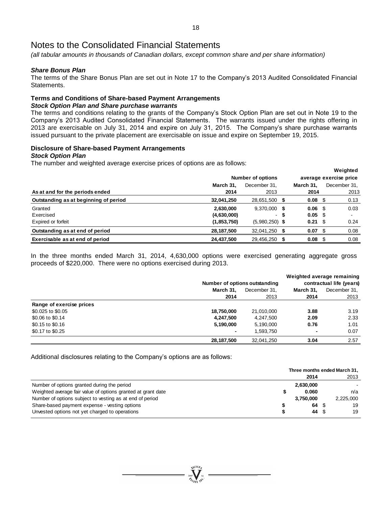*(all tabular amounts in thousands of Canadian dollars, except common share and per share information)*

# *Share Bonus Plan*

The terms of the Share Bonus Plan are set out in Note 17 to the Company's 2013 Audited Consolidated Financial Statements.

# **Terms and Conditions of Share-based Payment Arrangements**

# *Stock Option Plan and Share purchase warrants*

The terms and conditions relating to the grants of the Company's Stock Option Plan are set out in Note 19 to the Company's 2013 Audited Consolidated Financial Statements. The warrants issued under the rights offering in 2013 are exercisable on July 31, 2014 and expire on July 31, 2015. The Company's share purchase warrants issued pursuant to the private placement are exercisable on issue and expire on September 19, 2015.

# **Disclosure of Share-based Payment Arrangements**

#### *Stock Option Plan*

The number and weighted average exercise prices of options are as follows:

| ີ<br>ີ                                |                   | <b>Number of options</b> |      |                   |      | Weighted<br>average exercise price |
|---------------------------------------|-------------------|--------------------------|------|-------------------|------|------------------------------------|
| As at and for the periods ended       | March 31.<br>2014 | December 31.<br>2013     |      | March 31,<br>2014 |      | December 31,<br>2013               |
| Outstanding as at beginning of period | 32,041,250        | 28,651,500               | - 55 | 0.08              | - \$ | 0.13                               |
| Granted                               | 2,630,000         | 9,370,000                | 5    | 0.06              | - \$ | 0.03                               |
| Exercised                             | (4,630,000)       | $\sim$                   | -S   | $0.05$ \$         |      |                                    |
| Expired or forfeit                    | (1,853,750)       | $(5,980,250)$ \$         |      | 0.21              | - \$ | 0.24                               |
| Outstanding as at end of period       | 28,187,500        | 32,041,250               |      | 0.07              |      | 0.08                               |
| Exercisable as at end of period       | 24,437,500        | 29,456,250               |      | 0.08              |      | 0.08                               |

In the three months ended March 31, 2014, 4,630,000 options were exercised generating aggregate gross proceeds of \$220,000. There were no options exercised during 2013.

|                          |                |                               |           | Weighted average remaining |  |
|--------------------------|----------------|-------------------------------|-----------|----------------------------|--|
|                          |                | Number of options outstanding |           | contractual life (years)   |  |
|                          | March 31.      | December 31.                  | March 31. | December 31,               |  |
|                          | 2014           | 2013                          | 2014      | 2013                       |  |
| Range of exercise prices |                |                               |           |                            |  |
| \$0.025 to \$0.05        | 18,750,000     | 21,010,000                    | 3.88      | 3.19                       |  |
| \$0.06 to \$0.14         | 4,247,500      | 4,247,500                     | 2.09      | 2.33                       |  |
| \$0.15 to \$0.16         | 5,190,000      | 5,190,000                     | 0.76      | 1.01                       |  |
| \$0.17 to \$0.25         | $\blacksquare$ | 1.593.750                     |           | 0.07                       |  |
|                          | 28,187,500     | 32,041,250                    | 3.04      | 2.57                       |  |

Additional disclosures relating to the Company's options are as follows:

|                                                              | Three months ended March 31, |           |      |           |
|--------------------------------------------------------------|------------------------------|-----------|------|-----------|
|                                                              |                              | 2014      |      | 2013      |
| Number of options granted during the period                  |                              | 2,630,000 |      |           |
| Weighted average fair value of options granted at grant date |                              | 0.060     |      | n/a       |
| Number of options subject to vesting as at end of period     |                              | 3.750.000 |      | 2,225,000 |
| Share-based payment expense - vesting options                |                              | 64        | - \$ | 19        |
| Unvested options not yet charged to operations               |                              | 44        | - \$ | 19        |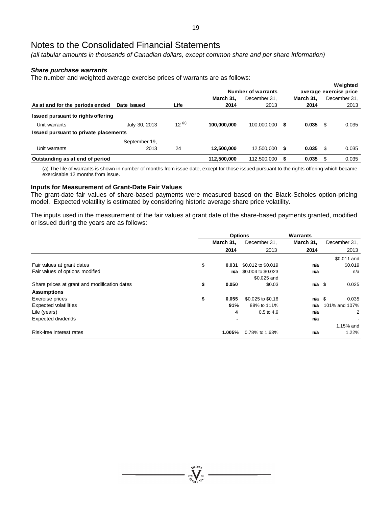*(all tabular amounts in thousands of Canadian dollars, except common share and per share information)*

### *Share purchase warrants*

The number and weighted average exercise prices of warrants are as follows:

|                                       |               |            |             | Number of warrants |     |           |      | Weighted<br>average exercise price |
|---------------------------------------|---------------|------------|-------------|--------------------|-----|-----------|------|------------------------------------|
|                                       |               |            | March 31.   | December 31.       |     | March 31. |      | December 31,                       |
| As at and for the periods ended       | Date Issued   | Life       | 2014        | 2013               |     | 2014      |      | 2013                               |
| Issued pursuant to rights offering    |               |            |             |                    |     |           |      |                                    |
| Unit warrants                         | July 30, 2013 | $12^{(a)}$ | 100.000.000 | 100.000.000        | - 5 | 0.035     | - \$ | 0.035                              |
| Issued pursuant to private placements |               |            |             |                    |     |           |      |                                    |
|                                       | September 19, |            |             |                    |     |           |      |                                    |
| Unit warrants                         | 2013          | 24         | 12.500.000  | 12,500,000         | 5   | 0.035     | - \$ | 0.035                              |
| Outstanding as at end of period       |               |            | 112,500,000 | 112,500,000        |     | 0.035     |      | 0.035                              |

(a) The life of warrants is shown in number of months from issue date, except for those issued pursuant to the rights offering which became exercisable 12 months from issue.

# **Inputs for Measurement of Grant-Date Fair Values**

The grant-date fair values of share-based payments were measured based on the Black-Scholes option-pricing model. Expected volatility is estimated by considering historic average share price volatility.

The inputs used in the measurement of the fair values at grant date of the share-based payments granted, modified or issued during the years are as follows:

|                                                    | <b>Options</b> |                    | Warrants  |                |
|----------------------------------------------------|----------------|--------------------|-----------|----------------|
|                                                    | March 31,      | December 31,       | March 31, | December 31,   |
|                                                    | 2014           | 2013               | 2014      | 2013           |
|                                                    |                |                    |           | \$0.011 and    |
| \$<br>Fair values at grant dates                   | 0.031          | \$0.012 to \$0.019 | n/a       | \$0.019        |
| Fair values of options modified                    | n/a            | \$0.004 to \$0.023 | n/a       | n/a            |
|                                                    |                | \$0.025 and        |           |                |
| \$<br>Share prices at grant and modification dates | 0.050          | \$0.03             | $n/a$ \$  | 0.025          |
| <b>Assumptions</b>                                 |                |                    |           |                |
| \$<br>Exercise prices                              | 0.055          | \$0.025 to \$0.16  | $n/a$ \$  | 0.035          |
| <b>Expected volatilities</b>                       | 91%            | 88% to 111%        | n/a       | 101% and 107%  |
| Life (years)                                       | 4              | $0.5$ to 4.9       | n/a       | $\overline{2}$ |
| Expected dividends                                 |                |                    | n/a       |                |
|                                                    |                |                    |           | 1.15% and      |
| Risk-free interest rates                           | 1.005%         | 0.78% to 1.63%     | n/a       | 1.22%          |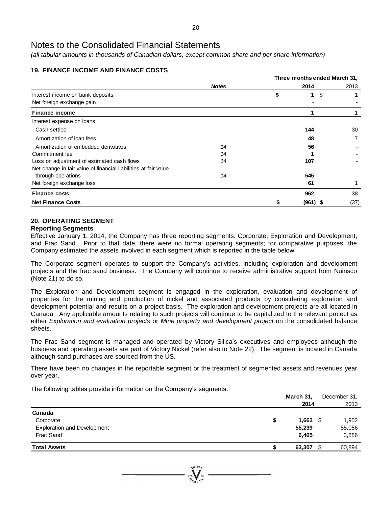*(all tabular amounts in thousands of Canadian dollars, except common share and per share information)*

# **19. FINANCE INCOME AND FINANCE COSTS**

|                                                                 |              |    | Three months ended March 31, |      |
|-----------------------------------------------------------------|--------------|----|------------------------------|------|
|                                                                 | <b>Notes</b> |    | 2014                         | 2013 |
| Interest income on bank deposits                                |              | \$ | \$<br>1                      |      |
| Net foreign exchange gain                                       |              |    |                              |      |
| <b>Finance income</b>                                           |              |    |                              |      |
| Interest expense on loans                                       |              |    |                              |      |
| Cash settled                                                    |              |    | 144                          | 30   |
| Amortization of loan fees                                       |              |    | 48                           | 7    |
| Amortization of embedded derivatives                            | 14           |    | 56                           |      |
| Commitment fee                                                  | 14           |    |                              |      |
| Loss on adjustment of estimated cash flows                      | 14           |    | 107                          |      |
| Net change in fair value of financial liabilities at fair value |              |    |                              |      |
| through operations                                              | 14           |    | 545                          |      |
| Net foreign exchange loss                                       |              |    | 61                           |      |
| <b>Finance costs</b>                                            |              |    | 962                          | 38   |
| <b>Net Finance Costs</b>                                        |              |    | $(961)$ \$                   | (37) |

# **20. OPERATING SEGMENT**

# **Reporting Segments**

Effective January 1, 2014, the Company has three reporting segments: Corporate, Exploration and Development, and Frac Sand. Prior to that date, there were no formal operating segments; for comparative purposes, the Company estimated the assets involved in each segment which is reported in the table below.

The Corporate segment operates to support the Company's activities, including exploration and development projects and the frac sand business. The Company will continue to receive administrative support from Nuinsco (Note 21) to do so.

The Exploration and Development segment is engaged in the exploration, evaluation and development of properties for the mining and production of nickel and associated products by considering exploration and development potential and results on a project basis. The exploration and development projects are all located in Canada. Any applicable amounts relating to such projects will continue to be capitalized to the relevant project as either *Exploration and evaluation projects* or *Mine property and development project* on the consolidated balance sheets.

The Frac Sand segment is managed and operated by Victory Silica's executives and employees although the business and operating assets are part of Victory Nickel (refer also to Note 22). The segment is located in Canada although sand purchases are sourced from the US.

There have been no changes in the reportable segment or the treatment of segmented assets and revenues year over year.

The following tables provide information on the Company's segments.

|   | March 31, | December 31,  |
|---|-----------|---------------|
|   | 2014      | 2013          |
|   |           |               |
| S | 1,663     | 1,952<br>- \$ |
|   | 55,239    | 55,056        |
|   | 6,405     | 3,886         |
|   | 63,307    | 60,894<br>£.  |
|   |           |               |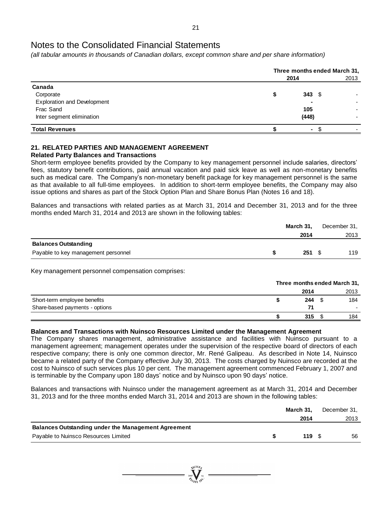*(all tabular amounts in thousands of Canadian dollars, except common share and per share information)*

|                                    | Three months ended March 31, |      |  |  |  |
|------------------------------------|------------------------------|------|--|--|--|
|                                    | 2014                         | 2013 |  |  |  |
| Canada                             |                              |      |  |  |  |
| Corporate                          | 343<br>- \$                  |      |  |  |  |
| <b>Exploration and Development</b> | ۰                            |      |  |  |  |
| Frac Sand                          | 105                          |      |  |  |  |
| Inter segment elimination          | (448)                        |      |  |  |  |
| <b>Total Revenues</b>              | ٠.                           |      |  |  |  |

# **21. RELATED PARTIES AND MANAGEMENT AGREEMENT**

# **Related Party Balances and Transactions**

Short-term employee benefits provided by the Company to key management personnel include salaries, directors' fees, statutory benefit contributions, paid annual vacation and paid sick leave as well as non-monetary benefits such as medical care. The Company's non-monetary benefit package for key management personnel is the same as that available to all full-time employees. In addition to short-term employee benefits, the Company may also issue options and shares as part of the Stock Option Plan and Share Bonus Plan (Notes 16 and 18).

Balances and transactions with related parties as at March 31, 2014 and December 31, 2013 and for the three months ended March 31, 2014 and 2013 are shown in the following tables:

|                                     | March 31,         | December 31, |
|-------------------------------------|-------------------|--------------|
|                                     | 2014              | 2013         |
| <b>Balances Outstanding</b>         |                   |              |
| Payable to key management personnel | $251 \text{ } $s$ | 119          |

Key management personnel compensation comprises:

|                                | Three months ended March 31, |  |      |  |
|--------------------------------|------------------------------|--|------|--|
|                                | 2014                         |  | 2013 |  |
| Short-term employee benefits   | 244                          |  | 184  |  |
| Share-based payments - options | 71                           |  |      |  |
|                                | 315                          |  | 184  |  |
|                                |                              |  |      |  |

# **Balances and Transactions with Nuinsco Resources Limited under the Management Agreement**

The Company shares management, administrative assistance and facilities with Nuinsco pursuant to a management agreement; management operates under the supervision of the respective board of directors of each respective company; there is only one common director, Mr. René Galipeau. As described in Note 14, Nuinsco became a related party of the Company effective July 30, 2013. The costs charged by Nuinsco are recorded at the cost to Nuinsco of such services plus 10 per cent. The management agreement commenced February 1, 2007 and is terminable by the Company upon 180 days' notice and by Nuinsco upon 90 days' notice.

Balances and transactions with Nuinsco under the management agreement as at March 31, 2014 and December 31, 2013 and for the three months ended March 31, 2014 and 2013 are shown in the following tables:

|                                                            | March 31. | December 31, |
|------------------------------------------------------------|-----------|--------------|
|                                                            | 2014      | 2013         |
| <b>Balances Outstanding under the Management Agreement</b> |           |              |
| Payable to Nuinsco Resources Limited                       | $119 \tS$ | 56           |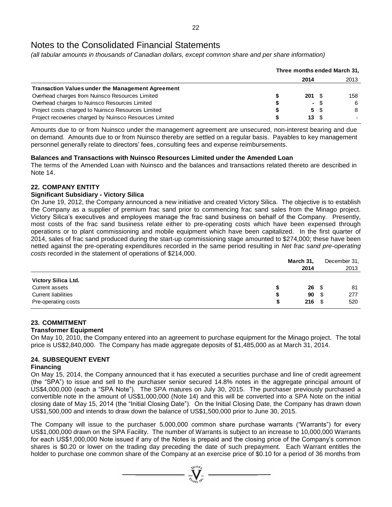*(all tabular amounts in thousands of Canadian dollars, except common share and per share information)*

|                                                          | Three months ended March 31, |                          |      |      |
|----------------------------------------------------------|------------------------------|--------------------------|------|------|
|                                                          |                              | 2014                     |      | 2013 |
| <b>Transaction Values under the Management Agreement</b> |                              |                          |      |      |
| Overhead charges from Nuinsco Resources Limited          |                              | $201 \t{S}$              |      | 158  |
| Overhead charges to Nuinsco Resources Limited            |                              |                          | - \$ | 6    |
| Project costs charged to Nuinsco Resources Limited       |                              |                          | 5 S  | 8    |
| Project recoveries charged by Nuinsco Resources Limited  |                              | $13 \quad$ $\frac{6}{3}$ |      |      |

Amounts due to or from Nuinsco under the management agreement are unsecured, non-interest bearing and due on demand. Amounts due to or from Nuinsco thereby are settled on a regular basis. Payables to key management personnel generally relate to directors' fees, consulting fees and expense reimbursements.

# **Balances and Transactions with Nuinsco Resources Limited under the Amended Loan**

The terms of the Amended Loan with Nuinsco and the balances and transactions related thereto are described in Note 14.

# **22. COMPANY ENTITY**

# **Significant Subsidiary - Victory Silica**

On June 19, 2012, the Company announced a new initiative and created Victory Silica. The objective is to establish the Company as a supplier of premium frac sand prior to commencing frac sand sales from the Minago project. Victory Silica's executives and employees manage the frac sand business on behalf of the Company. Presently, most costs of the frac sand business relate either to pre-operating costs which have been expensed through operations or to plant commissioning and mobile equipment which have been capitalized. In the first quarter of 2014, sales of frac sand produced during the start-up commissioning stage amounted to \$274,000; these have been netted against the pre-operating expenditures recorded in the same period resulting in *Net frac sand pre-operating costs* recorded in the statement of operations of \$214,000.

|                            |   | March 31,  |      | December 31, |  |
|----------------------------|---|------------|------|--------------|--|
|                            |   | 2014       |      | 2013         |  |
| Victory Silica Ltd.        |   |            |      |              |  |
| Current assets             |   | $26 \quad$ |      | 81           |  |
| <b>Current liabilities</b> | S | 90         | - \$ | 277          |  |
| Pre-operating costs        |   | $216 \t$$  |      | 520          |  |

# **23. COMMITMENT**

### **Transformer Equipment**

On May 10, 2010, the Company entered into an agreement to purchase equipment for the Minago project. The total price is US\$2,840,000. The Company has made aggregate deposits of \$1,485,000 as at March 31, 2014.

# **24. SUBSEQUENT EVENT**

### **Financing**

On May 15, 2014, the Company announced that it has executed a securities purchase and line of credit agreement (the "SPA") to issue and sell to the purchaser senior secured 14.8% notes in the aggregate principal amount of US\$4,000,000 (each a "SPA Note"). The SPA matures on July 30, 2015. The purchaser previously purchased a convertible note in the amount of US\$1,000,000 (Note 14) and this will be converted into a SPA Note on the initial closing date of May 15, 2014 (the "Initial Closing Date"). On the Initial Closing Date, the Company has drawn down US\$1,500,000 and intends to draw down the balance of US\$1,500,000 prior to June 30, 2015.

The Company will issue to the purchaser 5,000,000 common share purchase warrants ("Warrants") for every US\$1,000,000 drawn on the SPA Facility. The number of Warrants is subject to an increase to 10,000,000 Warrants for each US\$1,000,000 Note issued if any of the Notes is prepaid and the closing price of the Company's common shares is \$0.20 or lower on the trading day preceding the date of such prepayment. Each Warrant entitles the holder to purchase one common share of the Company at an exercise price of \$0.10 for a period of 36 months from

 $\sum_{2007}$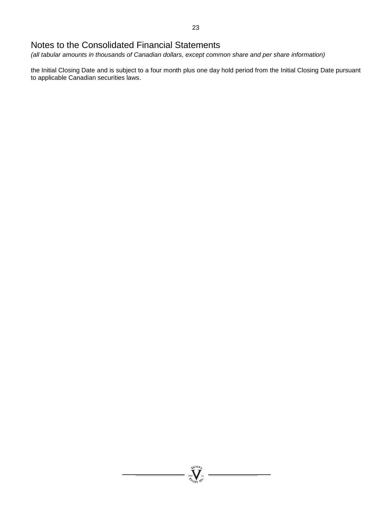*(all tabular amounts in thousands of Canadian dollars, except common share and per share information)*

the Initial Closing Date and is subject to a four month plus one day hold period from the Initial Closing Date pursuant to applicable Canadian securities laws.

 $\sum_{\substack{\mathbf{2007}}\\ \mathbf{M}\in\mathcal{H}_{\mathbf{6}}}}^{\mathbf{N}(\mathbf{10}_{\mathbf{8}_{\mathbf{y}}}}\mathbf{N})}$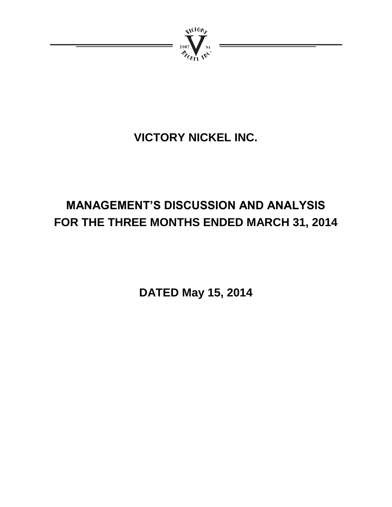

# **VICTORY NICKEL INC.**

# **MANAGEMENT'S DISCUSSION AND ANALYSIS FOR THE THREE MONTHS ENDED MARCH 31, 2014**

**DATED May 15, 2014**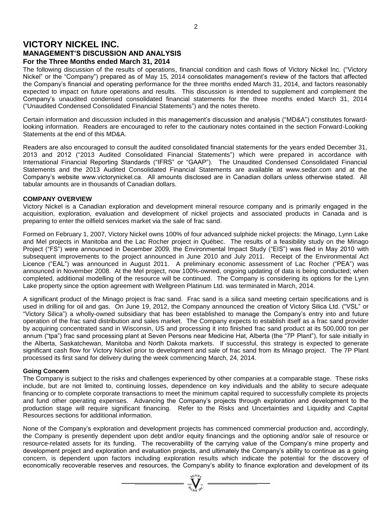# **VICTORY NICKEL INC. MANAGEMENT'S DISCUSSION AND ANALYSIS For the Three Months ended March 31, 2014**

The following discussion of the results of operations, financial condition and cash flows of Victory Nickel Inc. ("Victory Nickel" or the "Company") prepared as of May 15, 2014 consolidates management's review of the factors that affected the Company's financial and operating performance for the three months ended March 31, 2014, and factors reasonably expected to impact on future operations and results. This discussion is intended to supplement and complement the Company's unaudited condensed consolidated financial statements for the three months ended March 31, 2014 ("Unaudited Condensed Consolidated Financial Statements") and the notes thereto.

Certain information and discussion included in this management's discussion and analysis ("MD&A") constitutes forwardlooking information. Readers are encouraged to refer to the cautionary notes contained in the section Forward-Looking Statements at the end of this MD&A.

Readers are also encouraged to consult the audited consolidated financial statements for the years ended December 31, 2013 and 2012 ("2013 Audited Consolidated Financial Statements") which were prepared in accordance with International Financial Reporting Standards ("IFRS" or "GAAP"). The Unaudited Condensed Consolidated Financial Statements and the 2013 Audited Consolidated Financial Statements are available at www.sedar.com and at the Company's website www.victorynickel.ca. All amounts disclosed are in Canadian dollars unless otherwise stated. All tabular amounts are in thousands of Canadian dollars.

### **COMPANY OVERVIEW**

Victory Nickel is a Canadian exploration and development mineral resource company and is primarily engaged in the acquisition, exploration, evaluation and development of nickel projects and associated products in Canada and is preparing to enter the oilfield services market via the sale of frac sand.

Formed on February 1, 2007, Victory Nickel owns 100% of four advanced sulphide nickel projects: the Minago, Lynn Lake and Mel projects in Manitoba and the Lac Rocher project in Québec. The results of a feasibility study on the Minago Project ("FS") were announced in December 2009, the Environmental Impact Study ("EIS") was filed in May 2010 with subsequent improvements to the project announced in June 2010 and July 2011. Receipt of the Environmental Act Licence ("EAL") was announced in August 2011. A preliminary economic assessment of Lac Rocher ("PEA") was announced in November 2008. At the Mel project, now 100%-owned, ongoing updating of data is being conducted; when completed, additional modelling of the resource will be continued. The Company is considering its options for the Lynn Lake property since the option agreement with Wellgreen Platinum Ltd. was terminated in March, 2014.

A significant product of the Minago project is frac sand. Frac sand is a silica sand meeting certain specifications and is used in drilling for oil and gas. On June 19, 2012, the Company announced the creation of Victory Silica Ltd. ("VSL" or "Victory Silica") a wholly-owned subsidiary that has been established to manage the Company's entry into and future operation of the frac sand distribution and sales market. The Company expects to establish itself as a frac sand provider by acquiring concentrated sand in Wisconsin, US and processing it into finished frac sand product at its 500,000 ton per annum ("tpa") frac sand processing plant at Seven Persons near Medicine Hat, Alberta (the "7P Plant"), for sale initially in the Alberta, Saskatchewan, Manitoba and North Dakota markets. If successful, this strategy is expected to generate significant cash flow for Victory Nickel prior to development and sale of frac sand from its Minago project. The 7P Plant processed its first sand for delivery during the week commencing March, 24, 2014.

### **Going Concern**

The Company is subject to the risks and challenges experienced by other companies at a comparable stage. These risks include, but are not limited to, continuing losses, dependence on key individuals and the ability to secure adequate financing or to complete corporate transactions to meet the minimum capital required to successfully complete its projects and fund other operating expenses. Advancing the Company's projects through exploration and development to the production stage will require significant financing. Refer to the Risks and Uncertainties and Liquidity and Capital Resources sections for additional information.

None of the Company's exploration and development projects has commenced commercial production and, accordingly, the Company is presently dependent upon debt and/or equity financings and the optioning and/or sale of resource or resource-related assets for its funding. The recoverability of the carrying value of the Company's mine property and development project and exploration and evaluation projects, and ultimately the Company's ability to continue as a going concern, is dependent upon factors including exploration results which indicate the potential for the discovery of economically recoverable reserves and resources, the Company's ability to finance exploration and development of its

 $\sum_{\substack{\mathbf{2007}}{M_{\mathbf{100}}}}\sum_{\mathbf{N}_{\mathbf{1}}} \mathbf{w}_{\mathbf{1}} =$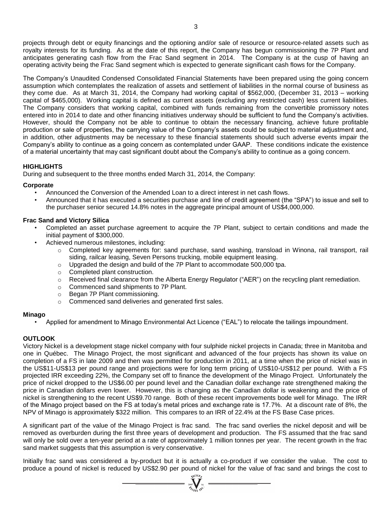projects through debt or equity financings and the optioning and/or sale of resource or resource-related assets such as royalty interests for its funding. As at the date of this report, the Company has begun commissioning the 7P Plant and anticipates generating cash flow from the Frac Sand segment in 2014. The Company is at the cusp of having an operating activity being the Frac Sand segment which is expected to generate significant cash flows for the Company.

The Company's Unaudited Condensed Consolidated Financial Statements have been prepared using the going concern assumption which contemplates the realization of assets and settlement of liabilities in the normal course of business as they come due. As at March 31, 2014, the Company had working capital of \$562,000, (December 31, 2013 – working capital of \$465,000). Working capital is defined as current assets (excluding any restricted cash) less current liabilities. The Company considers that working capital, combined with funds remaining from the convertible promissory notes entered into in 2014 to date and other financing initiatives underway should be sufficient to fund the Company's activities. However, should the Company not be able to continue to obtain the necessary financing, achieve future profitable production or sale of properties, the carrying value of the Company's assets could be subject to material adjustment and, in addition, other adjustments may be necessary to these financial statements should such adverse events impair the Company's ability to continue as a going concern as contemplated under GAAP. These conditions indicate the existence of a material uncertainty that may cast significant doubt about the Company's ability to continue as a going concern.

# **HIGHLIGHTS**

During and subsequent to the three months ended March 31, 2014, the Company:

# **Corporate**

- Announced the Conversion of the Amended Loan to a direct interest in net cash flows.
- Announced that it has executed a securities purchase and line of credit agreement (the "SPA") to issue and sell to the purchaser senior secured 14.8% notes in the aggregate principal amount of US\$4,000,000.

# **Frac Sand and Victory Silica**

- Completed an asset purchase agreement to acquire the 7P Plant, subject to certain conditions and made the initial payment of \$300,000.
- Achieved numerous milestones, including:
	- o Completed key agreements for: sand purchase, sand washing, transload in Winona, rail transport, rail siding, railcar leasing, Seven Persons trucking, mobile equipment leasing.
	- o Upgraded the design and build of the 7P Plant to accommodate 500,000 tpa.
	- o Completed plant construction.
	- $\circ$  Received final clearance from the Alberta Energy Regulator ("AER") on the recycling plant remediation.
	- o Commenced sand shipments to 7P Plant.
	- o Began 7P Plant commissioning.
	- o Commenced sand deliveries and generated first sales.

### **Minago**

• Applied for amendment to Minago Environmental Act Licence ("EAL") to relocate the tailings impoundment.

# **OUTLOOK**

Victory Nickel is a development stage nickel company with four sulphide nickel projects in Canada; three in Manitoba and one in Québec. The Minago Project, the most significant and advanced of the four projects has shown its value on completion of a FS in late 2009 and then was permitted for production in 2011, at a time when the price of nickel was in the US\$11-US\$13 per pound range and projections were for long term pricing of US\$10-US\$12 per pound. With a FS projected IRR exceeding 22%, the Company set off to finance the development of the Minago Project. Unfortunately the price of nickel dropped to the US\$6.00 per pound level and the Canadian dollar exchange rate strengthened making the price in Canadian dollars even lower. However, this is changing as the Canadian dollar is weakening and the price of nickel is strengthening to the recent US\$9.70 range. Both of these recent improvements bode well for Minago. The IRR of the Minago project based on the FS at today's metal prices and exchange rate is 17.7%. At a discount rate of 8%, the NPV of Minago is approximately \$322 million. This compares to an IRR of 22.4% at the FS Base Case prices.

A significant part of the value of the Minago Project is frac sand. The frac sand overlies the nickel deposit and will be removed as overburden during the first three years of development and production. The FS assumed that the frac sand will only be sold over a ten-year period at a rate of approximately 1 million tonnes per year. The recent growth in the frac sand market suggests that this assumption is very conservative.

Initially frac sand was considered a by-product but it is actually a co-product if we consider the value. The cost to produce a pound of nickel is reduced by US\$2.90 per pound of nickel for the value of frac sand and brings the cost to  $\frac{1}{N}$   $\frac{1}{N}$   $\frac{1}{N}$   $\frac{1}{N}$   $\frac{1}{N}$   $\frac{1}{N}$   $\frac{1}{N}$   $\frac{1}{N}$   $\frac{1}{N}$   $\frac{1}{N}$   $\frac$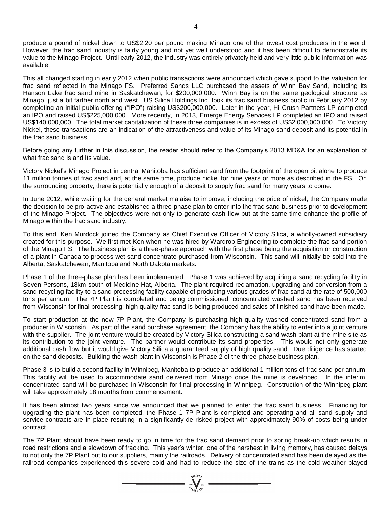produce a pound of nickel down to US\$2.20 per pound making Minago one of the lowest cost producers in the world. However, the frac sand industry is fairly young and not yet well understood and it has been difficult to demonstrate its value to the Minago Project. Until early 2012, the industry was entirely privately held and very little public information was available.

This all changed starting in early 2012 when public transactions were announced which gave support to the valuation for frac sand reflected in the Minago FS. Preferred Sands LLC purchased the assets of Winn Bay Sand, including its Hanson Lake frac sand mine in Saskatchewan, for \$200,000,000. Winn Bay is on the same geological structure as Minago, just a bit farther north and west. US Silica Holdings Inc. took its frac sand business public in February 2012 by completing an initial public offering ("IPO") raising US\$200,000,000. Later in the year, Hi-Crush Partners LP completed an IPO and raised US\$225,000,000. More recently, in 2013, Emerge Energy Services LP completed an IPO and raised US\$140,000,000. The total market capitalization of these three companies is in excess of US\$2,000,000,000. To Victory Nickel, these transactions are an indication of the attractiveness and value of its Minago sand deposit and its potential in the frac sand business.

Before going any further in this discussion, the reader should refer to the Company's 2013 MD&A for an explanation of what frac sand is and its value.

Victory Nickel's Minago Project in central Manitoba has sufficient sand from the footprint of the open pit alone to produce 11 million tonnes of frac sand and, at the same time, produce nickel for nine years or more as described in the FS. On the surrounding property, there is potentially enough of a deposit to supply frac sand for many years to come.

In June 2012, while waiting for the general market malaise to improve, including the price of nickel, the Company made the decision to be pro-active and established a three-phase plan to enter into the frac sand business prior to development of the Minago Project. The objectives were not only to generate cash flow but at the same time enhance the profile of Minago within the frac sand industry.

To this end, Ken Murdock joined the Company as Chief Executive Officer of Victory Silica, a wholly-owned subsidiary created for this purpose. We first met Ken when he was hired by Wardrop Engineering to complete the frac sand portion of the Minago FS. The business plan is a three-phase approach with the first phase being the acquisition or construction of a plant in Canada to process wet sand concentrate purchased from Wisconsin. This sand will initially be sold into the Alberta, Saskatchewan, Manitoba and North Dakota markets.

Phase 1 of the three-phase plan has been implemented. Phase 1 was achieved by acquiring a sand recycling facility in Seven Persons, 18km south of Medicine Hat, Alberta. The plant required reclamation, upgrading and conversion from a sand recycling facility to a sand processing facility capable of producing various grades of frac sand at the rate of 500,000 tons per annum. The 7P Plant is completed and being commissioned; concentrated washed sand has been received from Wisconsin for final processing; high quality frac sand is being produced and sales of finished sand have been made.

To start production at the new 7P Plant, the Company is purchasing high-quality washed concentrated sand from a producer in Wisconsin. As part of the sand purchase agreement, the Company has the ability to enter into a joint venture with the supplier. The joint venture would be created by Victory Silica constructing a sand wash plant at the mine site as its contribution to the joint venture. The partner would contribute its sand properties. This would not only generate additional cash flow but it would give Victory Silica a guaranteed supply of high quality sand. Due diligence has started on the sand deposits. Building the wash plant in Wisconsin is Phase 2 of the three-phase business plan.

Phase 3 is to build a second facility in Winnipeg, Manitoba to produce an additional 1 million tons of frac sand per annum. This facility will be used to accommodate sand delivered from Minago once the mine is developed. In the interim, concentrated sand will be purchased in Wisconsin for final processing in Winnipeg. Construction of the Winnipeg plant will take approximately 18 months from commencement.

It has been almost two years since we announced that we planned to enter the frac sand business. Financing for upgrading the plant has been completed, the Phase 1 7P Plant is completed and operating and all sand supply and service contracts are in place resulting in a significantly de-risked project with approximately 90% of costs being under contract.

The 7P Plant should have been ready to go in time for the frac sand demand prior to spring break-up which results in road restrictions and a slowdown of fracking. This year's winter, one of the harshest in living memory, has caused delays to not only the 7P Plant but to our suppliers, mainly the railroads. Delivery of concentrated sand has been delayed as the railroad companies experienced this severe cold and had to reduce the size of the trains as the cold weather played

=  $\sum_{\substack{2007 \ \mathcal{U}(10\beta) \\ \mathcal{U}(101\gamma)}}^{N(100\beta)}$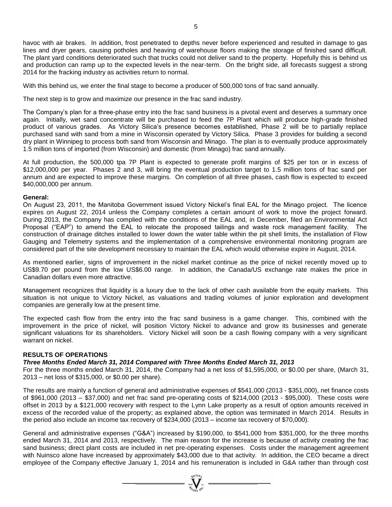havoc with air brakes. In addition, frost penetrated to depths never before experienced and resulted in damage to gas lines and dryer gears, causing potholes and heaving of warehouse floors making the storage of finished sand difficult. The plant yard conditions deteriorated such that trucks could not deliver sand to the property. Hopefully this is behind us and production can ramp up to the expected levels in the near-term. On the bright side, all forecasts suggest a strong 2014 for the fracking industry as activities return to normal.

With this behind us, we enter the final stage to become a producer of 500,000 tons of frac sand annually.

The next step is to grow and maximize our presence in the frac sand industry.

The Company's plan for a three-phase entry into the frac sand business is a pivotal event and deserves a summary once again. Initially, wet sand concentrate will be purchased to feed the 7P Plant which will produce high-grade finished product of various grades. As Victory Silica's presence becomes established, Phase 2 will be to partially replace purchased sand with sand from a mine in Wisconsin operated by Victory Silica. Phase 3 provides for building a second dry plant in Winnipeg to process both sand from Wisconsin and Minago. The plan is to eventually produce approximately 1.5 million tons of imported (from Wisconsin) and domestic (from Minago) frac sand annually.

At full production, the 500,000 tpa 7P Plant is expected to generate profit margins of \$25 per ton or in excess of \$12,000,000 per year. Phases 2 and 3, will bring the eventual production target to 1.5 million tons of frac sand per annum and are expected to improve these margins. On completion of all three phases, cash flow is expected to exceed \$40,000,000 per annum.

#### **General:**

On August 23, 2011, the Manitoba Government issued Victory Nickel's final EAL for the Minago project. The licence expires on August 22, 2014 unless the Company completes a certain amount of work to move the project forward. During 2013, the Company has complied with the conditions of the EAL and, in December, filed an Environmental Act Proposal ("EAP") to amend the EAL to relocate the proposed tailings and waste rock management facility. The construction of drainage ditches installed to lower down the water table within the pit shell limits, the installation of Flow Gauging and Telemetry systems and the implementation of a comprehensive environmental monitoring program are considered part of the site development necessary to maintain the EAL which would otherwise expire in August, 2014.

As mentioned earlier, signs of improvement in the nickel market continue as the price of nickel recently moved up to US\$9.70 per pound from the low US\$6.00 range. In addition, the Canada/US exchange rate makes the price in Canadian dollars even more attractive.

Management recognizes that liquidity is a luxury due to the lack of other cash available from the equity markets. This situation is not unique to Victory Nickel, as valuations and trading volumes of junior exploration and development companies are generally low at the present time.

The expected cash flow from the entry into the frac sand business is a game changer. This, combined with the improvement in the price of nickel, will position Victory Nickel to advance and grow its businesses and generate significant valuations for its shareholders. Victory Nickel will soon be a cash flowing company with a very significant warrant on nickel.

#### **RESULTS OF OPERATIONS**

### *Three Months Ended March 31, 2014 Compared with Three Months Ended March 31, 2013*

For the three months ended March 31, 2014, the Company had a net loss of \$1,595,000, or \$0.00 per share, (March 31, 2013 – net loss of \$315,000, or \$0.00 per share).

The results are mainly a function of general and administrative expenses of \$541,000 (2013 - \$351,000), net finance costs of \$961,000 (2013 – \$37,000) and net frac sand pre-operating costs of \$214,000 (2013 - \$95,000). These costs were offset in 2013 by a \$121,000 recovery with respect to the Lynn Lake property as a result of option amounts received in excess of the recorded value of the property; as explained above, the option was terminated in March 2014. Results in the period also include an income tax recovery of \$234,000 (2013 – income tax recovery of \$70,000).

General and administrative expenses ("G&A") increased by \$190,000, to \$541,000 from \$351,000, for the three months ended March 31, 2014 and 2013, respectively. The main reason for the increase is because of activity creating the frac sand business; direct plant costs are included in net pre-operating expenses. Costs under the management agreement with Nuinsco alone have increased by approximately \$43,000 due to that activity. In addition, the CEO became a direct employee of the Company effective January 1, 2014 and his remuneration is included in G&A rather than through cost

=  $\sum_{\substack{i=0\\ \text{if } i \neq j}}^{\text{qtd}(i)}$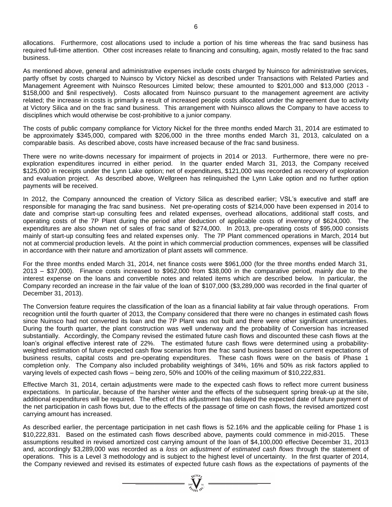allocations. Furthermore, cost allocations used to include a portion of his time whereas the frac sand business has required full-time attention. Other cost increases relate to financing and consulting, again, mostly related to the frac sand business.

As mentioned above, general and administrative expenses include costs charged by Nuinsco for administrative services, partly offset by costs charged to Nuinsco by Victory Nickel as described under Transactions with Related Parties and Management Agreement with Nuinsco Resources Limited below; these amounted to \$201,000 and \$13,000 (2013 - \$158,000 and \$nil respectively). Costs allocated from Nuinsco pursuant to the management agreement are activity related; the increase in costs is primarily a result of increased people costs allocated under the agreement due to activity at Victory Silica and on the frac sand business. This arrangement with Nuinsco allows the Company to have access to disciplines which would otherwise be cost-prohibitive to a junior company.

The costs of public company compliance for Victory Nickel for the three months ended March 31, 2014 are estimated to be approximately \$345,000, compared with \$206,000 in the three months ended March 31, 2013, calculated on a comparable basis. As described above, costs have increased because of the frac sand business.

There were no write-downs necessary for impairment of projects in 2014 or 2013. Furthermore, there were no preexploration expenditures incurred in either period. In the quarter ended March 31, 2013, the Company received \$125,000 in receipts under the Lynn Lake option; net of expenditures, \$121,000 was recorded as recovery of exploration and evaluation project. As described above, Wellgreen has relinquished the Lynn Lake option and no further option payments will be received.

In 2012, the Company announced the creation of Victory Silica as described earlier; VSL's executive and staff are responsible for managing the frac sand business. Net pre-operating costs of \$214,000 have been expensed in 2014 to date and comprise start-up consulting fees and related expenses, overhead allocations, additional staff costs, and operating costs of the 7P Plant during the period after deduction of applicable costs of inventory of \$624,000. The expenditures are also shown net of sales of frac sand of \$274,000. In 2013, pre-operating costs of \$95,000 consists mainly of start-up consulting fees and related expenses only. The 7P Plant commenced operations in March, 2014 but not at commercial production levels. At the point in which commercial production commences, expenses will be classified in accordance with their nature and amortization of plant assets will commence.

For the three months ended March 31, 2014, net finance costs were \$961,000 (for the three months ended March 31, 2013 – \$37,000). Finance costs increased to \$962,000 from \$38,000 in the comparative period, mainly due to the interest expense on the loans and convertible notes and related items which are described below. In particular, the Company recorded an increase in the fair value of the loan of \$107,000 (\$3,289,000 was recorded in the final quarter of December 31, 2013).

The Conversion feature requires the classification of the loan as a financial liability at fair value through operations. From recognition until the fourth quarter of 2013, the Company considered that there were no changes in estimated cash flows since Nuinsco had not converted its loan and the 7P Plant was not built and there were other significant uncertainties. During the fourth quarter, the plant construction was well underway and the probability of Conversion has increased substantially. Accordingly, the Company revised the estimated future cash flows and discounted these cash flows at the loan's original effective interest rate of 22%. The estimated future cash flows were determined using a probabilityweighted estimation of future expected cash flow scenarios from the frac sand business based on current expectations of business results, capital costs and pre-operating expenditures. These cash flows were on the basis of Phase 1 completion only. The Company also included probability weightings of 34%, 16% and 50% as risk factors applied to varying levels of expected cash flows – being zero, 50% and 100% of the ceiling maximum of \$10,222,831.

Effective March 31, 2014, certain adjustments were made to the expected cash flows to reflect more current business expectations. In particular, because of the harsher winter and the effects of the subsequent spring break-up at the site, additional expenditures will be required. The effect of this adjustment has delayed the expected date of future payment of the net participation in cash flows but, due to the effects of the passage of time on cash flows, the revised amortized cost carrying amount has increased.

As described earlier, the percentage participation in net cash flows is 52.16% and the applicable ceiling for Phase 1 is \$10,222,831. Based on the estimated cash flows described above, payments could commence in mid-2015. These assumptions resulted in revised amortized cost carrying amount of the loan of \$4,100,000 effective December 31, 2013 and, accordingly \$3,289,000 was recorded as a *loss on adjustment of estimated cash flows* through the statement of operations. This is a Level 3 methodology and is subject to the highest level of uncertainty. In the first quarter of 2014, the Company reviewed and revised its estimates of expected future cash flows as the expectations of payments of the

 $\sum_{\omega\in\mathcal{I}_{G}}\sum_{\omega\in\mathcal{I}_{G}}\sum_{\omega\in\mathcal{I}_{G}}$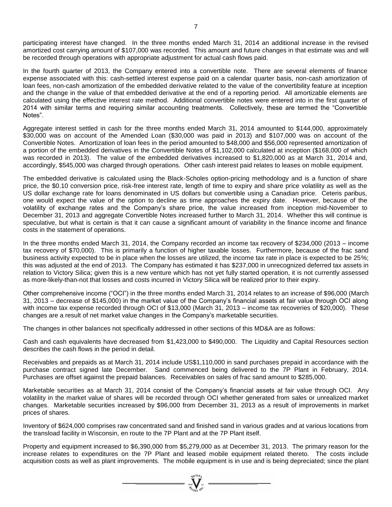participating interest have changed. In the three months ended March 31, 2014 an additional increase in the revised amortized cost carrying amount of \$107,000 was recorded. This amount and future changes in that estimate was and will be recorded through operations with appropriate adjustment for actual cash flows paid.

In the fourth quarter of 2013, the Company entered into a convertible note. There are several elements of finance expense associated with this: cash-settled interest expense paid on a calendar quarter basis, non-cash amortization of loan fees, non-cash amortization of the embedded derivative related to the value of the convertibility feature at inception and the change in the value of that embedded derivative at the end of a reporting period. All amortizable elements are calculated using the effective interest rate method. Additional convertible notes were entered into in the first quarter of 2014 with similar terms and requiring similar accounting treatments. Collectively, these are termed the "Convertible Notes".

Aggregate interest settled in cash for the three months ended March 31, 2014 amounted to \$144,000, approximately \$30,000 was on account of the Amended Loan (\$30,000 was paid in 2013) and \$107,000 was on account of the Convertible Notes. Amortization of loan fees in the period amounted to \$48,000 and \$56,000 represented amortization of a portion of the embedded derivatives in the Convertible Notes of \$1,102,000 calculated at inception (\$168,000 of which was recorded in 2013). The value of the embedded derivatives increased to \$1,820,000 as at March 31, 2014 and, accordingly, \$545,000 was charged through operations. Other cash interest paid relates to leases on mobile equipment.

The embedded derivative is calculated using the Black-Scholes option-pricing methodology and is a function of share price, the \$0.10 conversion price, risk-free interest rate, length of time to expiry and share price volatility as well as the US dollar exchange rate for loans denominated in US dollars but convertible using a Canadian price. Ceteris paribus, one would expect the value of the option to decline as time approaches the expiry date. However, because of the volatility of exchange rates and the Company's share price, the value increased from inception mid-November to December 31, 2013 and aggregate Convertible Notes increased further to March 31, 2014. Whether this will continue is speculative, but what is certain is that it can cause a significant amount of variability in the finance income and finance costs in the statement of operations.

In the three months ended March 31, 2014, the Company recorded an income tax recovery of \$234,000 (2013 – income tax recovery of \$70,000). This is primarily a function of higher taxable losses. Furthermore, because of the frac sand business activity expected to be in place when the losses are utilized, the income tax rate in place is expected to be 25%; this was adjusted at the end of 2013. The Company has estimated it has \$237,000 in unrecognized deferred tax assets in relation to Victory Silica; given this is a new venture which has not yet fully started operation, it is not currently assessed as more-likely-than-not that losses and costs incurred in Victory Silica will be realized prior to their expiry.

Other comprehensive income ("OCI") in the three months ended March 31, 2014 relates to an increase of \$96,000 (March 31, 2013 – decrease of \$145,000) in the market value of the Company's financial assets at fair value through OCI along with income tax expense recorded through OCI of \$13,000 (March 31, 2013 – income tax recoveries of \$20,000). These changes are a result of net market value changes in the Company's marketable securities.

The changes in other balances not specifically addressed in other sections of this MD&A are as follows:

Cash and cash equivalents have decreased from \$1,423,000 to \$490,000. The Liquidity and Capital Resources section describes the cash flows in the period in detail.

Receivables and prepaids as at March 31, 2014 include US\$1,110,000 in sand purchases prepaid in accordance with the purchase contract signed late December. Sand commenced being delivered to the 7P Plant in February, 2014. Purchases are offset against the prepaid balances. Receivables on sales of frac sand amount to \$285,000.

Marketable securities as at March 31, 2014 consist of the Company's financial assets at fair value through OCI. Any volatility in the market value of shares will be recorded through OCI whether generated from sales or unrealized market changes. Marketable securities increased by \$96,000 from December 31, 2013 as a result of improvements in market prices of shares.

Inventory of \$624,000 comprises raw concentrated sand and finished sand in various grades and at various locations from the transload facility in Wisconsin, en route to the 7P Plant and at the 7P Plant itself.

Property and equipment increased to \$6,390,000 from \$5,279,000 as at December 31, 2013. The primary reason for the increase relates to expenditures on the 7P Plant and leased mobile equipment related thereto. The costs include acquisition costs as well as plant improvements. The mobile equipment is in use and is being depreciated; since the plant

=  $\sum_{\substack{3007 \ \cancel{a_{\ell}}}} \sum_{\substack{Ni \ Ni}}$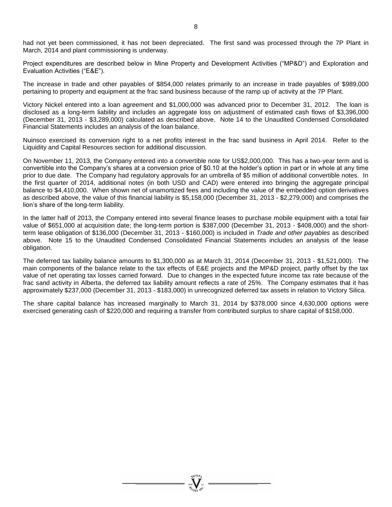had not yet been commissioned, it has not been depreciated. The first sand was processed through the 7P Plant in March, 2014 and plant commissioning is underway.

Project expenditures are described below in Mine Property and Development Activities ("MP&D") and Exploration and Evaluation Activities ("E&E").

The increase in trade and other payables of \$854,000 relates primarily to an increase in trade payables of \$989,000 pertaining to property and equipment at the frac sand business because of the ramp up of activity at the 7P Plant.

Victory Nickel entered into a loan agreement and \$1,000,000 was advanced prior to December 31, 2012. The loan is disclosed as a long-term liability and includes an aggregate loss on adjustment of estimated cash flows of \$3,396,000 (December 31, 2013 - \$3,289,000) calculated as described above. Note 14 to the Unaudited Condensed Consolidated Financial Statements includes an analysis of the loan balance.

Nuinsco exercised its conversion right to a net profits interest in the frac sand business in April 2014. Refer to the Liquidity and Capital Resources section for additional discussion.

On November 11, 2013, the Company entered into a convertible note for US\$2,000,000. This has a two-year term and is convertible into the Company's shares at a conversion price of \$0.10 at the holder's option in part or in whole at any time prior to due date. The Company had regulatory approvals for an umbrella of \$5 million of additional convertible notes. In the first quarter of 2014, additional notes (in both USD and CAD) were entered into bringing the aggregate principal balance to \$4,410,000. When shown net of unamortized fees and including the value of the embedded option derivatives as described above, the value of this financial liability is \$5,158,000 (December 31, 2013 - \$2,279,000) and comprises the lion's share of the long-term liability.

In the latter half of 2013, the Company entered into several finance leases to purchase mobile equipment with a total fair value of \$651,000 at acquisition date; the long-term portion is \$387,000 (December 31, 2013 - \$408,000) and the shortterm lease obligation of \$136,000 (December 31, 2013 - \$160,000) is included in *Trade and other payables* as described above. Note 15 to the Unaudited Condensed Consolidated Financial Statements includes an analysis of the lease obligation.

The deferred tax liability balance amounts to \$1,300,000 as at March 31, 2014 (December 31, 2013 - \$1,521,000). The main components of the balance relate to the tax effects of E&E projects and the MP&D project, partly offset by the tax value of net operating tax losses carried forward. Due to changes in the expected future income tax rate because of the frac sand activity in Alberta, the deferred tax liability amount reflects a rate of 25%. The Company estimates that it has approximately \$237,000 (December 31, 2013 - \$183,000) in unrecognized deferred tax assets in relation to Victory Silica.

The share capital balance has increased marginally to March 31, 2014 by \$378,000 since 4,630,000 options were exercised generating cash of \$220,000 and requiring a transfer from contributed surplus to share capital of \$158,000.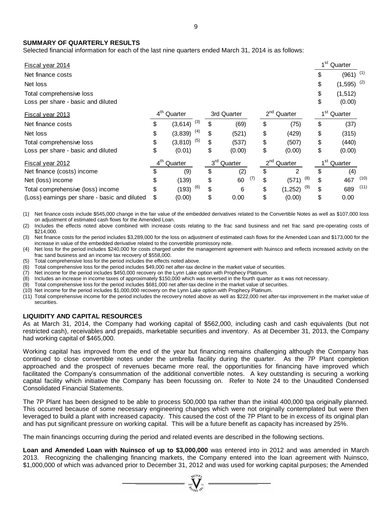### **SUMMARY OF QUARTERLY RESULTS**

| SUMMARY OF QUARTERLY RESULTS<br>Selected financial information for each of the last nine quarters ended March 31, 2014 is as follows:                                                                                                                                                                                                                                                                                                                                                                                                                                                                                                                                                                                                                                                                                                                                                                                                                                                                                                                                                                                                                                                                                                                                                                                                                                                                                                                 |                 |                 |                 |             |          |                         |                 |                         |      |
|-------------------------------------------------------------------------------------------------------------------------------------------------------------------------------------------------------------------------------------------------------------------------------------------------------------------------------------------------------------------------------------------------------------------------------------------------------------------------------------------------------------------------------------------------------------------------------------------------------------------------------------------------------------------------------------------------------------------------------------------------------------------------------------------------------------------------------------------------------------------------------------------------------------------------------------------------------------------------------------------------------------------------------------------------------------------------------------------------------------------------------------------------------------------------------------------------------------------------------------------------------------------------------------------------------------------------------------------------------------------------------------------------------------------------------------------------------|-----------------|-----------------|-----------------|-------------|----------|-------------------------|-----------------|-------------------------|------|
| Fiscal year 2014                                                                                                                                                                                                                                                                                                                                                                                                                                                                                                                                                                                                                                                                                                                                                                                                                                                                                                                                                                                                                                                                                                                                                                                                                                                                                                                                                                                                                                      |                 |                 |                 |             |          |                         |                 | 1 <sup>st</sup> Quarter |      |
| Net finance costs                                                                                                                                                                                                                                                                                                                                                                                                                                                                                                                                                                                                                                                                                                                                                                                                                                                                                                                                                                                                                                                                                                                                                                                                                                                                                                                                                                                                                                     |                 |                 |                 |             |          |                         | \$              | $(961)$ <sup>(1)</sup>  |      |
| Net loss                                                                                                                                                                                                                                                                                                                                                                                                                                                                                                                                                                                                                                                                                                                                                                                                                                                                                                                                                                                                                                                                                                                                                                                                                                                                                                                                                                                                                                              |                 |                 |                 |             |          |                         | \$              | (1, 595)                | (2)  |
| Total comprehensive loss<br>Loss per share - basic and diluted                                                                                                                                                                                                                                                                                                                                                                                                                                                                                                                                                                                                                                                                                                                                                                                                                                                                                                                                                                                                                                                                                                                                                                                                                                                                                                                                                                                        |                 |                 |                 |             |          |                         | \$<br>\$        | (1, 512)<br>(0.00)      |      |
| Fiscal year 2013                                                                                                                                                                                                                                                                                                                                                                                                                                                                                                                                                                                                                                                                                                                                                                                                                                                                                                                                                                                                                                                                                                                                                                                                                                                                                                                                                                                                                                      |                 | $4th$ Quarter   |                 | 3rd Quarter |          | 2 <sup>nd</sup> Quarter |                 | $1st$ Quarter           |      |
| Net finance costs                                                                                                                                                                                                                                                                                                                                                                                                                                                                                                                                                                                                                                                                                                                                                                                                                                                                                                                                                                                                                                                                                                                                                                                                                                                                                                                                                                                                                                     | \$              | (3)<br>(3,614)  | \$              | (69)        | \$       | (75)                    | \$              | (37)                    |      |
| Net loss                                                                                                                                                                                                                                                                                                                                                                                                                                                                                                                                                                                                                                                                                                                                                                                                                                                                                                                                                                                                                                                                                                                                                                                                                                                                                                                                                                                                                                              | \$              | (4)<br>(3,839)  | \$              | (521)       | \$       | (429)                   | \$              | (315)                   |      |
| Total comprehensive loss                                                                                                                                                                                                                                                                                                                                                                                                                                                                                                                                                                                                                                                                                                                                                                                                                                                                                                                                                                                                                                                                                                                                                                                                                                                                                                                                                                                                                              | \$              | (5)<br>(3, 810) | \$              | (537)       | \$       | (507)                   | \$              | (440)                   |      |
| Loss per share - basic and diluted                                                                                                                                                                                                                                                                                                                                                                                                                                                                                                                                                                                                                                                                                                                                                                                                                                                                                                                                                                                                                                                                                                                                                                                                                                                                                                                                                                                                                    | \$              | (0.01)          | \$              | (0.00)      | \$       | (0.00)                  | \$              | (0.00)                  |      |
| Fiscal year 2012                                                                                                                                                                                                                                                                                                                                                                                                                                                                                                                                                                                                                                                                                                                                                                                                                                                                                                                                                                                                                                                                                                                                                                                                                                                                                                                                                                                                                                      | $4^{\text{th}}$ | Quarter         | 3 <sup>rd</sup> | Quarter     | $2^{nd}$ | Quarter                 | 1 <sup>st</sup> | Quarter                 |      |
| Net finance (costs) income                                                                                                                                                                                                                                                                                                                                                                                                                                                                                                                                                                                                                                                                                                                                                                                                                                                                                                                                                                                                                                                                                                                                                                                                                                                                                                                                                                                                                            | \$              | (9)             | \$              | (2)         | \$       | $\overline{2}$          | \$              | (4)                     |      |
| Net (loss) income                                                                                                                                                                                                                                                                                                                                                                                                                                                                                                                                                                                                                                                                                                                                                                                                                                                                                                                                                                                                                                                                                                                                                                                                                                                                                                                                                                                                                                     | \$              | (139)           | \$              | (7)<br>60   | \$       | (8)<br>(571)            | \$              | 467                     | (10) |
| Total comprehensive (loss) income                                                                                                                                                                                                                                                                                                                                                                                                                                                                                                                                                                                                                                                                                                                                                                                                                                                                                                                                                                                                                                                                                                                                                                                                                                                                                                                                                                                                                     | \$              | (6)<br>(193)    | \$              | 6           | \$       | (9)<br>(1, 252)         | \$              | 689                     | (11) |
| (Loss) earnings per share - basic and diluted                                                                                                                                                                                                                                                                                                                                                                                                                                                                                                                                                                                                                                                                                                                                                                                                                                                                                                                                                                                                                                                                                                                                                                                                                                                                                                                                                                                                         | \$              | (0.00)          | \$              | 0.00        | \$       | (0.00)                  | \$              | 0.00                    |      |
| Net loss for the period includes \$240,000 for costs charged under the management agreement with Nuinsco and reflects increased activity on the<br>(4)<br>frac sand business and an income tax recovery of \$558,000.<br>Total comprehensive loss for the period includes the effects noted above.<br>(5)<br>Total comprehensive loss for the period includes \$49,000 net after-tax decline in the market value of securities.<br>(6)<br>Net income for the period includes \$450,000 recovery on the Lynn Lake option with Prophecy Platinum.<br>(7)<br>Includes an increase in income taxes of approximately \$150,000 which was reversed in the fourth quarter as it was not necessary.<br>(8)<br>Total comprehensive loss for the period includes \$681,000 net after-tax decline in the market value of securities.<br>(9)<br>(10) Net income for the period includes \$1,000,000 recovery on the Lynn Lake option with Prophecy Platinum.<br>(11) Total comprehensive income for the period includes the recovery noted above as well as \$222,000 net after-tax improvement in the market value of<br>securities.<br><b>LIQUIDITY AND CAPITAL RESOURCES</b><br>As at March 31, 2014, the Company had working capital of \$562,000, including cash and cash equivalents (but not<br>restricted cash), receivables and prepaids, marketable securities and inventory. As at December 31, 2013, the Company<br>had working capital of \$465,000. |                 |                 |                 |             |          |                         |                 |                         |      |
| Working capital has improved from the end of the year but financing remains challenging although the Company has<br>continued to close convertible notes under the umbrella facility during the quarter. As the 7P Plant completion<br>approached and the prospect of revenues became more real, the opportunities for financing have improved which<br>facilitated the Company's consummation of the additional convertible notes. A key outstanding is securing a working<br>capital facility which initiative the Company has been focussing on. Refer to Note 24 to the Unaudited Condensed<br>Consolidated Financial Statements.                                                                                                                                                                                                                                                                                                                                                                                                                                                                                                                                                                                                                                                                                                                                                                                                                 |                 |                 |                 |             |          |                         |                 |                         |      |
| The 7P Plant has been designed to be able to process 500,000 tpa rather than the initial 400,000 tpa originally planned.<br>This occurred because of some necessary engineering changes which were not originally contemplated but were then<br>leveraged to build a plant with increased capacity. This caused the cost of the 7P Plant to be in excess of its original plan<br>and has put significant pressure on working capital. This will be a future benefit as capacity has increased by 25%.                                                                                                                                                                                                                                                                                                                                                                                                                                                                                                                                                                                                                                                                                                                                                                                                                                                                                                                                                 |                 |                 |                 |             |          |                         |                 |                         |      |
| The main financings occurring during the period and related events are described in the following sections.                                                                                                                                                                                                                                                                                                                                                                                                                                                                                                                                                                                                                                                                                                                                                                                                                                                                                                                                                                                                                                                                                                                                                                                                                                                                                                                                           |                 |                 |                 |             |          |                         |                 |                         |      |
| Loan and Amended Loan with Nuinsco of up to \$3,000,000 was entered into in 2012 and was amended in March<br>2013. Recognizing the challenging financing markets, the Company entered into the loan agreement with Nuinsco,<br>\$1,000,000 of which was advanced prior to December 31, 2012 and was used for working capital purposes; the Amended                                                                                                                                                                                                                                                                                                                                                                                                                                                                                                                                                                                                                                                                                                                                                                                                                                                                                                                                                                                                                                                                                                    |                 |                 |                 |             |          |                         |                 |                         |      |

- (7) Net income for the period includes \$450,000 recovery on the Lynn Lake option with Prophecy Platinum.
- (8) Includes an increase in income taxes of approximately \$150,000 which was reversed in the fourth quarter as it was not necessary.
- (9) Total comprehensive loss for the period includes \$681,000 net after-tax decline in the market value of securities.

### **LIQUIDITY AND CAPITAL RESOURCES**

=  $\sum_{i=1}^{N^{(10)}(b)}$  =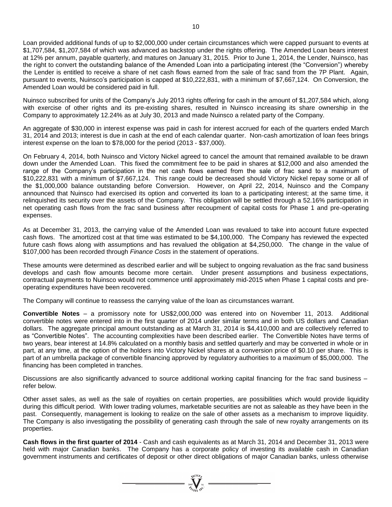Loan provided additional funds of up to \$2,000,000 under certain circumstances which were capped pursuant to events at \$1,707,584, \$1,207,584 of which was advanced as backstop under the rights offering. The Amended Loan bears interest at 12% per annum, payable quarterly, and matures on January 31, 2015. Prior to June 1, 2014, the Lender, Nuinsco, has the right to convert the outstanding balance of the Amended Loan into a participating interest (the "Conversion") whereby the Lender is entitled to receive a share of net cash flows earned from the sale of frac sand from the 7P Plant. Again, pursuant to events, Nuinsco's participation is capped at \$10,222,831, with a minimum of \$7,667,124. On Conversion, the Amended Loan would be considered paid in full.

Nuinsco subscribed for units of the Company's July 2013 rights offering for cash in the amount of \$1,207,584 which, along with exercise of other rights and its pre-existing shares, resulted in Nuinsco increasing its share ownership in the Company to approximately 12.24% as at July 30, 2013 and made Nuinsco a related party of the Company.

An aggregate of \$30,000 in interest expense was paid in cash for interest accrued for each of the quarters ended March 31, 2014 and 2013; interest is due in cash at the end of each calendar quarter. Non-cash amortization of loan fees brings interest expense on the loan to \$78,000 for the period (2013 - \$37,000).

On February 4, 2014, both Nuinsco and Victory Nickel agreed to cancel the amount that remained available to be drawn down under the Amended Loan. This fixed the commitment fee to be paid in shares at \$12,000 and also amended the range of the Company's participation in the net cash flows earned from the sale of frac sand to a maximum of \$10,222,831 with a minimum of \$7,667,124. This range could be decreased should Victory Nickel repay some or all of the \$1,000,000 balance outstanding before Conversion. However, on April 22, 2014, Nuinsco and the Company announced that Nuinsco had exercised its option and converted its loan to a participating interest; at the same time, it relinquished its security over the assets of the Company. This obligation will be settled through a 52.16% participation in net operating cash flows from the frac sand business after recoupment of capital costs for Phase 1 and pre-operating expenses.

As at December 31, 2013, the carrying value of the Amended Loan was revalued to take into account future expected cash flows. The amortized cost at that time was estimated to be \$4,100,000. The Company has reviewed the expected future cash flows along with assumptions and has revalued the obligation at \$4,250,000. The change in the value of \$107,000 has been recorded through *Finance Costs* in the statement of operations.

These amounts were determined as described earlier and will be subject to ongoing revaluation as the frac sand business develops and cash flow amounts become more certain. Under present assumptions and business expectations, contractual payments to Nuinsco would not commence until approximately mid-2015 when Phase 1 capital costs and preoperating expenditures have been recovered.

The Company will continue to reassess the carrying value of the loan as circumstances warrant.

**Convertible Notes** – a promissory note for US\$2,000,000 was entered into on November 11, 2013. Additional convertible notes were entered into in the first quarter of 2014 under similar terms and in both US dollars and Canadian dollars. The aggregate principal amount outstanding as at March 31, 2014 is \$4,410,000 and are collectively referred to as "Convertible Notes". The accounting complexities have been described earlier. The Convertible Notes have terms of two years, bear interest at 14.8% calculated on a monthly basis and settled quarterly and may be converted in whole or in part, at any time, at the option of the holders into Victory Nickel shares at a conversion price of \$0.10 per share. This is part of an umbrella package of convertible financing approved by regulatory authorities to a maximum of \$5,000,000. The financing has been completed in tranches.

Discussions are also significantly advanced to source additional working capital financing for the frac sand business – refer below.

Other asset sales, as well as the sale of royalties on certain properties, are possibilities which would provide liquidity during this difficult period. With lower trading volumes, marketable securities are not as saleable as they have been in the past. Consequently, management is looking to realize on the sale of other assets as a mechanism to improve liquidity. The Company is also investigating the possibility of generating cash through the sale of new royalty arrangements on its properties.

**Cash flows in the first quarter of 2014** - Cash and cash equivalents as at March 31, 2014 and December 31, 2013 were held with major Canadian banks. The Company has a corporate policy of investing its available cash in Canadian government instruments and certificates of deposit or other direct obligations of major Canadian banks, unless otherwise

 $\sum_{\substack{\text{2007}}{2007}}$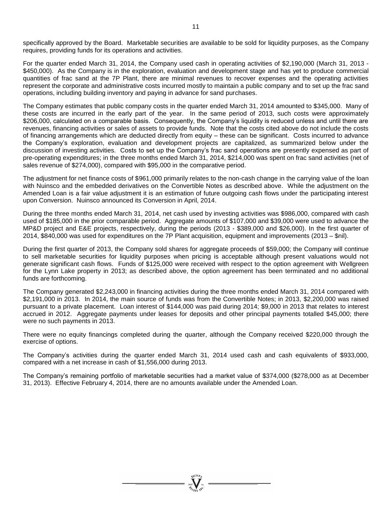specifically approved by the Board. Marketable securities are available to be sold for liquidity purposes, as the Company requires, providing funds for its operations and activities.

For the quarter ended March 31, 2014, the Company used cash in operating activities of \$2,190,000 (March 31, 2013 - \$450,000). As the Company is in the exploration, evaluation and development stage and has yet to produce commercial quantities of frac sand at the 7P Plant, there are minimal revenues to recover expenses and the operating activities represent the corporate and administrative costs incurred mostly to maintain a public company and to set up the frac sand operations, including building inventory and paying in advance for sand purchases.

The Company estimates that public company costs in the quarter ended March 31, 2014 amounted to \$345,000. Many of these costs are incurred in the early part of the year. In the same period of 2013, such costs were approximately \$206,000, calculated on a comparable basis. Consequently, the Company's liquidity is reduced unless and until there are revenues, financing activities or sales of assets to provide funds. Note that the costs cited above do not include the costs of financing arrangements which are deducted directly from equity – these can be significant. Costs incurred to advance the Company's exploration, evaluation and development projects are capitalized, as summarized below under the discussion of investing activities. Costs to set up the Company's frac sand operations are presently expensed as part of pre-operating expenditures; in the three months ended March 31, 2014, \$214,000 was spent on frac sand activities (net of sales revenue of \$274,000), compared with \$95,000 in the comparative period.

The adjustment for net finance costs of \$961,000 primarily relates to the non-cash change in the carrying value of the loan with Nuinsco and the embedded derivatives on the Convertible Notes as described above. While the adjustment on the Amended Loan is a fair value adjustment it is an estimation of future outgoing cash flows under the participating interest upon Conversion. Nuinsco announced its Conversion in April, 2014.

During the three months ended March 31, 2014, net cash used by investing activities was \$986,000, compared with cash used of \$185,000 in the prior comparable period. Aggregate amounts of \$107,000 and \$39,000 were used to advance the MP&D project and E&E projects, respectively, during the periods (2013 - \$389,000 and \$26,000). In the first quarter of 2014, \$840,000 was used for expenditures on the 7P Plant acquisition, equipment and improvements (2013 – \$nil).

During the first quarter of 2013, the Company sold shares for aggregate proceeds of \$59,000; the Company will continue to sell marketable securities for liquidity purposes when pricing is acceptable although present valuations would not generate significant cash flows. Funds of \$125,000 were received with respect to the option agreement with Wellgreen for the Lynn Lake property in 2013; as described above, the option agreement has been terminated and no additional funds are forthcoming.

The Company generated \$2,243,000 in financing activities during the three months ended March 31, 2014 compared with \$2,191,000 in 2013. In 2014, the main source of funds was from the Convertible Notes; in 2013, \$2,200,000 was raised pursuant to a private placement. Loan interest of \$144,000 was paid during 2014; \$9,000 in 2013 that relates to interest accrued in 2012. Aggregate payments under leases for deposits and other principal payments totalled \$45,000; there were no such payments in 2013.

There were no equity financings completed during the quarter, although the Company received \$220,000 through the exercise of options.

The Company's activities during the quarter ended March 31, 2014 used cash and cash equivalents of \$933,000, compared with a net increase in cash of \$1,556,000 during 2013.

The Company's remaining portfolio of marketable securities had a market value of \$374,000 (\$278,000 as at December 31, 2013). Effective February 4, 2014, there are no amounts available under the Amended Loan.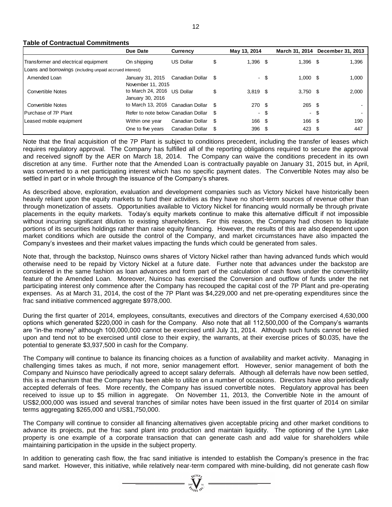### **Table of Contractual Commitments**

|                                                                                                                                                                                                                                                                                                                                                                                                                                                                                                                                                                                                                                                                                                                                                                                                                                                                                                                                                                                             | Due Date                                        | <b>Currency</b>  | May 13, 2014     |                    |        | March 31, 2014 December 31, 2013 |
|---------------------------------------------------------------------------------------------------------------------------------------------------------------------------------------------------------------------------------------------------------------------------------------------------------------------------------------------------------------------------------------------------------------------------------------------------------------------------------------------------------------------------------------------------------------------------------------------------------------------------------------------------------------------------------------------------------------------------------------------------------------------------------------------------------------------------------------------------------------------------------------------------------------------------------------------------------------------------------------------|-------------------------------------------------|------------------|------------------|--------------------|--------|----------------------------------|
| Transformer and electrical equipment                                                                                                                                                                                                                                                                                                                                                                                                                                                                                                                                                                                                                                                                                                                                                                                                                                                                                                                                                        | On shipping                                     | <b>US Dollar</b> | \$<br>$1,396$ \$ | $1,396$ \$         |        | 1,396                            |
| Loans and borrowings (including unpaid accrued interest)                                                                                                                                                                                                                                                                                                                                                                                                                                                                                                                                                                                                                                                                                                                                                                                                                                                                                                                                    |                                                 |                  |                  |                    |        |                                  |
| Amended Loan                                                                                                                                                                                                                                                                                                                                                                                                                                                                                                                                                                                                                                                                                                                                                                                                                                                                                                                                                                                | January 31, 2015<br>November 11, 2015           | Canadian Dollar  | \$               | $1,000$ \$<br>- \$ |        | 1,000                            |
| <b>Convertible Notes</b>                                                                                                                                                                                                                                                                                                                                                                                                                                                                                                                                                                                                                                                                                                                                                                                                                                                                                                                                                                    | to March 24, 2016 US Dollar<br>January 30, 2016 |                  | \$<br>$3,819$ \$ | $3,750$ \$         |        | 2,000                            |
| <b>Convertible Notes</b>                                                                                                                                                                                                                                                                                                                                                                                                                                                                                                                                                                                                                                                                                                                                                                                                                                                                                                                                                                    | to March 13, 2016 Canadian Dollar               |                  | \$<br>270 \$     | 265                |        | - \$                             |
| Purchase of 7P Plant                                                                                                                                                                                                                                                                                                                                                                                                                                                                                                                                                                                                                                                                                                                                                                                                                                                                                                                                                                        | Refer to note below Canadian Dollar             |                  | \$               | \$                 |        | \$                               |
| Leased mobile equipment                                                                                                                                                                                                                                                                                                                                                                                                                                                                                                                                                                                                                                                                                                                                                                                                                                                                                                                                                                     | Within one year                                 | Canadian Dollar  | \$<br>166 \$     |                    | 166 \$ | 190                              |
|                                                                                                                                                                                                                                                                                                                                                                                                                                                                                                                                                                                                                                                                                                                                                                                                                                                                                                                                                                                             | One to five years                               | Canadian Dollar  | \$<br>396 \$     |                    | 423 \$ | 447                              |
| Note that the final acquisition of the 7P Plant is subject to conditions precedent, including the transfer of leases which<br>requires regulatory approval. The Company has fulfilled all of the reporting obligations required to secure the approval<br>and received signoff by the AER on March 18, 2014. The Company can waive the conditions precedent in its own<br>discretion at any time. Further note that the Amended Loan is contractually payable on January 31, 2015 but, in April,<br>was converted to a net participating interest which has no specific payment dates. The Convertible Notes may also be<br>settled in part or in whole through the issuance of the Company's shares.                                                                                                                                                                                                                                                                                       |                                                 |                  |                  |                    |        |                                  |
| As described above, exploration, evaluation and development companies such as Victory Nickel have historically been<br>heavily reliant upon the equity markets to fund their activities as they have no short-term sources of revenue other than<br>through monetization of assets. Opportunities available to Victory Nickel for financing would normally be through private<br>placements in the equity markets. Today's equity markets continue to make this alternative difficult if not impossible<br>without incurring significant dilution to existing shareholders. For this reason, the Company had chosen to liquidate<br>portions of its securities holdings rather than raise equity financing. However, the results of this are also dependent upon<br>market conditions which are outside the control of the Company, and market circumstances have also impacted the<br>Company's investees and their market values impacting the funds which could be generated from sales. |                                                 |                  |                  |                    |        |                                  |
| Note that, through the backstop, Nuinsco owns shares of Victory Nickel rather than having advanced funds which would<br>otherwise need to be repaid by Victory Nickel at a future date. Further note that advances under the backstop are<br>considered in the same fashion as loan advances and form part of the calculation of cash flows under the convertibility<br>feature of the Amended Loan. Moreover, Nuinsco has exercised the Conversion and outflow of funds under the net<br>participating interest only commence after the Company has recouped the capital cost of the 7P Plant and pre-operating<br>expenses. As at March 31, 2014, the cost of the 7P Plant was \$4,229,000 and net pre-operating expenditures since the<br>frac sand initiative commenced aggregate \$978,000.                                                                                                                                                                                            |                                                 |                  |                  |                    |        |                                  |
| During the first quarter of 2014, employees, consultants, executives and directors of the Company exercised 4,630,000<br>options which generated \$220,000 in cash for the Company. Also note that all 112,500,000 of the Company's warrants<br>are "in-the money" although 100,000,000 cannot be exercised until July 31, 2014. Although such funds cannot be relied<br>upon and tend not to be exercised until close to their expiry, the warrants, at their exercise prices of \$0.035, have the<br>potential to generate \$3,937,500 in cash for the Company.                                                                                                                                                                                                                                                                                                                                                                                                                           |                                                 |                  |                  |                    |        |                                  |
| The Company will continue to balance its financing choices as a function of availability and market activity. Managing in<br>challenging times takes as much, if not more, senior management effort. However, senior management of both the<br>Company and Nuinsco have periodically agreed to accept salary deferrals. Although all deferrals have now been settled,<br>this is a mechanism that the Company has been able to utilize on a number of occasions. Directors have also periodically<br>accepted deferrals of fees. More recently, the Company has issued convertible notes. Regulatory approval has been<br>received to issue up to \$5 million in aggregate. On November 11, 2013, the Convertible Note in the amount of<br>US\$2,000,000 was issued and several tranches of similar notes have been issued in the first quarter of 2014 on similar<br>terms aggregating \$265,000 and US\$1,750,000.                                                                        |                                                 |                  |                  |                    |        |                                  |
| The Company will continue to consider all financing alternatives given acceptable pricing and other market conditions to<br>advance its projects, put the frac sand plant into production and maintain liquidity. The optioning of the Lynn Lake<br>property is one example of a corporate transaction that can generate cash and add value for shareholders while<br>maintaining participation in the upside in the subject property.                                                                                                                                                                                                                                                                                                                                                                                                                                                                                                                                                      |                                                 |                  |                  |                    |        |                                  |
| In addition to generating cash flow, the frac sand initiative is intended to establish the Company's presence in the frac<br>sand market. However, this initiative, while relatively near-term compared with mine-building, did not generate cash flow                                                                                                                                                                                                                                                                                                                                                                                                                                                                                                                                                                                                                                                                                                                                      |                                                 |                  |                  |                    |        |                                  |

 $\sum_{\substack{i=0\\ \mathscr{U}_{\mathcal{C}(i+1)}(i\infty)}}^{\infty}$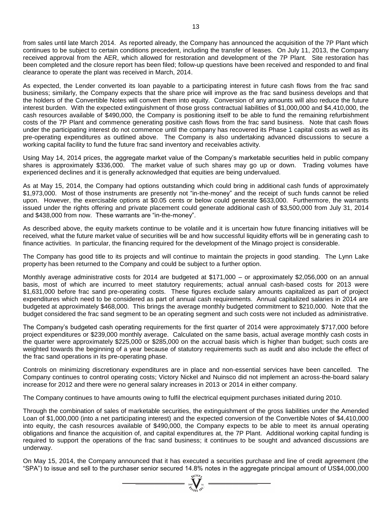from sales until late March 2014. As reported already, the Company has announced the acquisition of the 7P Plant which continues to be subject to certain conditions precedent, including the transfer of leases. On July 11, 2013, the Company received approval from the AER, which allowed for restoration and development of the 7P Plant. Site restoration has been completed and the closure report has been filed; follow-up questions have been received and responded to and final clearance to operate the plant was received in March, 2014.

As expected, the Lender converted its loan payable to a participating interest in future cash flows from the frac sand business; similarly, the Company expects that the share price will improve as the frac sand business develops and that the holders of the Convertible Notes will convert them into equity. Conversion of any amounts will also reduce the future interest burden. With the expected extinguishment of those gross contractual liabilities of \$1,000,000 and \$4,410,000, the cash resources available of \$490,000, the Company is positioning itself to be able to fund the remaining refurbishment costs of the 7P Plant and commence generating positive cash flows from the frac sand business. Note that cash flows under the participating interest do not commence until the company has recovered its Phase 1 capital costs as well as its pre-operating expenditures as outlined above. The Company is also undertaking advanced discussions to secure a working capital facility to fund the future frac sand inventory and receivables activity.

Using May 14, 2014 prices, the aggregate market value of the Company's marketable securities held in public company shares is approximately \$336,000. The market value of such shares may go up or down. Trading volumes have experienced declines and it is generally acknowledged that equities are being undervalued.

As at May 15, 2014, the Company had options outstanding which could bring in additional cash funds of approximately \$1,973,000. Most of those instruments are presently not "in-the-money" and the receipt of such funds cannot be relied upon. However, the exercisable options at \$0.05 cents or below could generate \$633,000. Furthermore, the warrants issued under the rights offering and private placement could generate additional cash of \$3,500,000 from July 31, 2014 and \$438,000 from now. These warrants are "in-the-money".

As described above, the equity markets continue to be volatile and it is uncertain how future financing initiatives will be received, what the future market value of securities will be and how successful liquidity efforts will be in generating cash to finance activities. In particular, the financing required for the development of the Minago project is considerable.

The Company has good title to its projects and will continue to maintain the projects in good standing. The Lynn Lake property has been returned to the Company and could be subject to a further option.

Monthly average administrative costs for 2014 are budgeted at \$171,000 – or approximately \$2,056,000 on an annual basis, most of which are incurred to meet statutory requirements; actual annual cash-based costs for 2013 were \$1,631,000 before frac sand pre-operating costs. These figures exclude salary amounts capitalized as part of project expenditures which need to be considered as part of annual cash requirements. Annual capitalized salaries in 2014 are budgeted at approximately \$468,000. This brings the average monthly budgeted commitment to \$210,000. Note that the budget considered the frac sand segment to be an operating segment and such costs were not included as administrative.

The Company's budgeted cash operating requirements for the first quarter of 2014 were approximately \$717,000 before project expenditures or \$239,000 monthly average. Calculated on the same basis, actual average monthly cash costs in the quarter were approximately \$225,000 or \$285,000 on the accrual basis which is higher than budget; such costs are weighted towards the beginning of a year because of statutory requirements such as audit and also include the effect of the frac sand operations in its pre-operating phase.

Controls on minimizing discretionary expenditures are in place and non-essential services have been cancelled. The Company continues to control operating costs; Victory Nickel and Nuinsco did not implement an across-the-board salary increase for 2012 and there were no general salary increases in 2013 or 2014 in either company.

The Company continues to have amounts owing to fulfil the electrical equipment purchases initiated during 2010.

Through the combination of sales of marketable securities, the extinguishment of the gross liabilities under the Amended Loan of \$1,000,000 (into a net participating interest) and the expected conversion of the Convertible Notes of \$4,410,000 into equity, the cash resources available of \$490,000, the Company expects to be able to meet its annual operating obligations and finance the acquisition of, and capital expenditures at, the 7P Plant. Additional working capital funding is required to support the operations of the frac sand business; it continues to be sought and advanced discussions are underway.

On May 15, 2014, the Company announced that it has executed a securities purchase and line of credit agreement (the "SPA") to issue and sell to the purchaser senior secured 14.8% notes in the aggregate principal amount of US\$4,000,000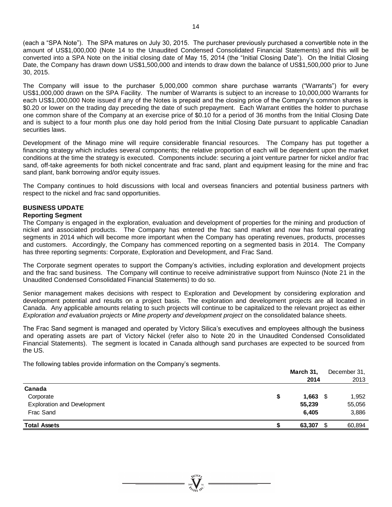(each a "SPA Note"). The SPA matures on July 30, 2015. The purchaser previously purchased a convertible note in the amount of US\$1,000,000 (Note 14 to the Unaudited Condensed Consolidated Financial Statements) and this will be converted into a SPA Note on the initial closing date of May 15, 2014 (the "Initial Closing Date"). On the Initial Closing Date, the Company has drawn down US\$1,500,000 and intends to draw down the balance of US\$1,500,000 prior to June 30, 2015.

The Company will issue to the purchaser 5,000,000 common share purchase warrants ("Warrants") for every US\$1,000,000 drawn on the SPA Facility. The number of Warrants is subject to an increase to 10,000,000 Warrants for each US\$1,000,000 Note issued if any of the Notes is prepaid and the closing price of the Company's common shares is \$0.20 or lower on the trading day preceding the date of such prepayment. Each Warrant entitles the holder to purchase one common share of the Company at an exercise price of \$0.10 for a period of 36 months from the Initial Closing Date and is subject to a four month plus one day hold period from the Initial Closing Date pursuant to applicable Canadian securities laws.

Development of the Minago mine will require considerable financial resources. The Company has put together a financing strategy which includes several components; the relative proportion of each will be dependent upon the market conditions at the time the strategy is executed. Components include: securing a joint venture partner for nickel and/or frac sand, off-take agreements for both nickel concentrate and frac sand, plant and equipment leasing for the mine and frac sand plant, bank borrowing and/or equity issues.

The Company continues to hold discussions with local and overseas financiers and potential business partners with respect to the nickel and frac sand opportunities.

### **BUSINESS UPDATE**

#### **Reporting Segment**

The Company is engaged in the exploration, evaluation and development of properties for the mining and production of nickel and associated products. The Company has entered the frac sand market and now has formal operating segments in 2014 which will become more important when the Company has operating revenues, products, processes and customers. Accordingly, the Company has commenced reporting on a segmented basis in 2014. The Company has three reporting segments: Corporate, Exploration and Development, and Frac Sand.

The Corporate segment operates to support the Company's activities, including exploration and development projects and the frac sand business. The Company will continue to receive administrative support from Nuinsco (Note 21 in the Unaudited Condensed Consolidated Financial Statements) to do so.

Senior management makes decisions with respect to Exploration and Development by considering exploration and development potential and results on a project basis. The exploration and development projects are all located in Canada. Any applicable amounts relating to such projects will continue to be capitalized to the relevant project as either *Exploration and evaluation projects* or *Mine property and development project* on the consolidated balance sheets.

The Frac Sand segment is managed and operated by Victory Silica's executives and employees although the business and operating assets are part of Victory Nickel (refer also to Note 20 in the Unaudited Condensed Consolidated Financial Statements). The segment is located in Canada although sand purchases are expected to be sourced from the US.

The following tables provide information on the Company's segments.

|                                    |   | March 31, |    | December 31, |
|------------------------------------|---|-----------|----|--------------|
|                                    |   | 2014      |    | 2013         |
| Canada                             |   |           |    |              |
| Corporate                          | S | 1,663     | S  | 1,952        |
| <b>Exploration and Development</b> |   | 55,239    |    | 55,056       |
| Frac Sand                          |   | 6,405     |    | 3,886        |
| <b>Total Assets</b>                |   | 63,307    | \$ | 60,894       |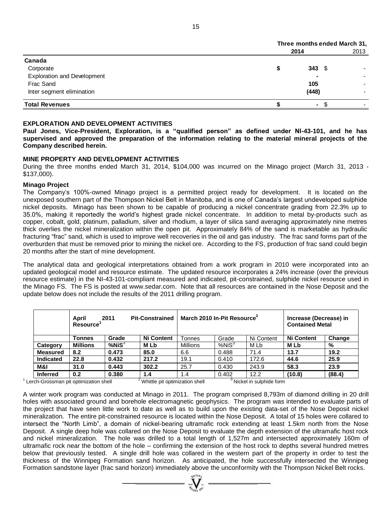|                                    |      | Three months ended March 31, |                          |  |  |  |
|------------------------------------|------|------------------------------|--------------------------|--|--|--|
|                                    | 2014 |                              | 2013                     |  |  |  |
| Canada                             |      |                              |                          |  |  |  |
| Corporate                          |      | 343 $$$                      |                          |  |  |  |
| <b>Exploration and Development</b> |      | -                            | $\overline{\phantom{0}}$ |  |  |  |
| Frac Sand                          |      | 105                          |                          |  |  |  |
| Inter segment elimination          |      | (448)                        |                          |  |  |  |
| <b>Total Revenues</b>              |      | ۰                            |                          |  |  |  |

### **EXPLORATION AND DEVELOPMENT ACTIVITIES**

**Paul Jones, Vice-President, Exploration, is a "qualified person" as defined under NI-43-101, and he has supervised and approved the preparation of the information relating to the material mineral projects of the Company described herein.**

#### **MINE PROPERTY AND DEVELOPMENT ACTIVITIES**

During the three months ended March 31, 2014, \$104,000 was incurred on the Minago project (March 31, 2013 - \$137,000).

#### **Minago Project**

The Company's 100%-owned Minago project is a permitted project ready for development. It is located on the unexposed southern part of the Thompson Nickel Belt in Manitoba, and is one of Canada's largest undeveloped sulphide nickel deposits. Minago has been shown to be capable of producing a nickel concentrate grading from 22.3% up to 35.0%, making it reportedly the world's highest grade nickel concentrate. In addition to metal by-products such as copper, cobalt, gold, platinum, palladium, silver and rhodium, a layer of silica sand averaging approximately nine metres thick overlies the nickel mineralization within the open pit. Approximately 84% of the sand is marketable as hydraulic fracturing "frac" sand, which is used to improve well recoveries in the oil and gas industry. The frac sand forms part of the overburden that must be removed prior to mining the nickel ore. According to the FS, production of frac sand could begin 20 months after the start of mine development.

The analytical data and geological interpretations obtained from a work program in 2010 were incorporated into an updated geological model and resource estimate. The updated resource incorporates a 24% increase (over the previous resource estimate) in the NI-43-101-compliant measured and indicated, pit-constrained, sulphide nickel resource used in the Minago FS. The FS is posted at [www.sedar.com.](http://www.sedar.com/) Note that all resources are contained in the Nose Deposit and the update below does not include the results of the 2011 drilling program.

|                      | April<br>2011<br><b>Pit-Constrained</b><br><b>Resource</b> |              |                   | March 2010 In-Pit Resource <sup>2</sup> | Increase (Decrease) in<br><b>Contained Metal</b> |            |                   |        |
|----------------------|------------------------------------------------------------|--------------|-------------------|-----------------------------------------|--------------------------------------------------|------------|-------------------|--------|
|                      | Tonnes                                                     | Grade        | <b>Ni Content</b> | <b>Tonnes</b>                           | Grade                                            | Ni Content | <b>Ni Content</b> | Change |
| Category             | <b>Millions</b>                                            | $%$ Ni $S^3$ | <b>MLb</b>        | <b>Millions</b>                         | %NiS <sup>3</sup>                                | M Lb       | M Lb              | %      |
| <b>Measured</b>      | 8.2                                                        | 0.473        | 85.0              | 6.6                                     | 0.488                                            | 71.4       | 13.7              | 19.2   |
| <b>Indicated</b>     | 22.8                                                       | 0.432        | 217.2             | 19.1                                    | 0.410                                            | 172.6      | 44.6              | 25.9   |
| M&I                  | 31.0                                                       | 0.443        | 302.2             | 25.7                                    | 0.430                                            | 243.9      | 58.3              | 23.9   |
| <b>Inferred</b><br>. | 0.2                                                        | 0.380<br>.   | 1.4               | 1.4<br>                                 | 0.402                                            | 12.2       | (10.8)            | (88.4) |

<sup>1</sup> Lerch-Grossman pit optimization shell <sup>2</sup> Whittle pit optimization shell <sup>3</sup> Nickel in sulphide form

A winter work program was conducted at Minago in 2011. The program comprised 8,793m of diamond drilling in 20 drill holes with associated ground and borehole electromagnetic geophysics. The program was intended to evaluate parts of the project that have seen little work to date as well as to build upon the existing data-set of the Nose Deposit nickel mineralization. The entire pit-constrained resource is located within the Nose Deposit. A total of 15 holes were collared to intersect the "North Limb", a domain of nickel-bearing ultramafic rock extending at least 1.5km north from the Nose Deposit. A single deep hole was collared on the Nose Deposit to evaluate the depth extension of the ultramafic host rock and nickel mineralization. The hole was drilled to a total length of 1,527m and intersected approximately 160m of ultramafic rock near the bottom of the hole – confirming the extension of the host rock to depths several hundred metres below that previously tested. A single drill hole was collared in the western part of the property in order to test the thickness of the Winnipeg Formation sand horizon. As anticipated, the hole successfully intersected the Winnipeg Canada<br>
Formation sand Development<br>
Frac Sand<br>
Eric Sand<br>
Frac Sand<br>
Frac Sand<br>
Frac Sand<br>
Frac Sand<br>
Frac Sand<br>
Frac Sand<br>
Frac Sand<br>
Frac Sand<br>
Frac Sand<br>
Frac Sand<br>
Frac Sand Jones (MAD DEVELOPMENT ACTIVITIES<br>
Total Rev

 $\sum_{n=1}^{\infty} \sum_{m=1}^{\infty}$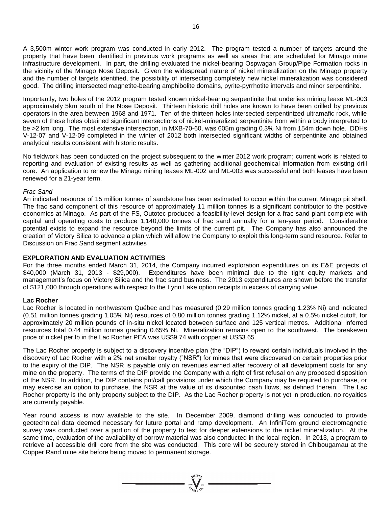A 3,500m winter work program was conducted in early 2012. The program tested a number of targets around the property that have been identified in previous work programs as well as areas that are scheduled for Minago mine infrastructure development. In part, the drilling evaluated the nickel-bearing Ospwagan Group/Pipe Formation rocks in the vicinity of the Minago Nose Deposit. Given the widespread nature of nickel mineralization on the Minago property and the number of targets identified, the possibility of intersecting completely new nickel mineralization was considered good. The drilling intersected magnetite-bearing amphibolite domains, pyrite-pyrrhotite intervals and minor serpentinite.

Importantly, two holes of the 2012 program tested known nickel-bearing serpentinite that underlies mining lease ML-003 approximately 5km south of the Nose Deposit. Thirteen historic drill holes are known to have been drilled by previous operators in the area between 1968 and 1971. Ten of the thirteen holes intersected serpentinized ultramafic rock, while seven of these holes obtained significant intersections of nickel-mineralized serpentinite from within a body interpreted to be >2 km long. The most extensive intersection, in MXB-70-60, was 605m grading 0.3% Ni from 154m down hole. DDHs V-12-07 and V-12-09 completed in the winter of 2012 both intersected significant widths of serpentinite and obtained analytical results consistent with historic results.

No fieldwork has been conducted on the project subsequent to the winter 2012 work program; current work is related to reporting and evaluation of existing results as well as gathering additional geochemical information from existing drill core. An application to renew the Minago mining leases ML-002 and ML-003 was successful and both leases have been renewed for a 21-year term.

#### *Frac Sand*

An indicated resource of 15 million tonnes of sandstone has been estimated to occur within the current Minago pit shell. The frac sand component of this resource of approximately 11 million tonnes is a significant contributor to the positive economics at Minago. As part of the FS, Outotec produced a feasibility-level design for a frac sand plant complete with capital and operating costs to produce 1,140,000 tonnes of frac sand annually for a ten-year period. Considerable potential exists to expand the resource beyond the limits of the current pit. The Company has also announced the creation of Victory Silica to advance a plan which will allow the Company to exploit this long-term sand resource. Refer to Discussion on Frac Sand segment activities

#### **EXPLORATION AND EVALUATION ACTIVITIES**

For the three months ended March 31, 2014, the Company incurred exploration expenditures on its E&E projects of \$40,000 (March 31, 2013 - \$29,000). Expenditures have been minimal due to the tight equity markets and management's focus on Victory Silica and the frac sand business. The 2013 expenditures are shown before the transfer of \$121,000 through operations with respect to the Lynn Lake option receipts in excess of carrying value.

#### **Lac Rocher**

Lac Rocher is located in northwestern Québec and has measured (0.29 million tonnes grading 1.23% Ni) and indicated (0.51 million tonnes grading 1.05% Ni) resources of 0.80 million tonnes grading 1.12% nickel, at a 0.5% nickel cutoff, for approximately 20 million pounds of in-situ nickel located between surface and 125 vertical metres. Additional inferred resources total 0.44 million tonnes grading 0.65% Ni. Mineralization remains open to the southwest. The breakeven price of nickel per lb in the Lac Rocher PEA was US\$9.74 with copper at US\$3.65.

The Lac Rocher property is subject to a discovery incentive plan (the "DIP") to reward certain individuals involved in the discovery of Lac Rocher with a 2% net smelter royalty ("NSR") for mines that were discovered on certain properties prior to the expiry of the DIP. The NSR is payable only on revenues earned after recovery of all development costs for any mine on the property. The terms of the DIP provide the Company with a right of first refusal on any proposed disposition of the NSR. In addition, the DIP contains put/call provisions under which the Company may be required to purchase, or may exercise an option to purchase, the NSR at the value of its discounted cash flows, as defined therein. The Lac Rocher property is the only property subject to the DIP. As the Lac Rocher property is not yet in production, no royalties are currently payable.

Year round access is now available to the site. In December 2009, diamond drilling was conducted to provide geotechnical data deemed necessary for future portal and ramp development. An InfiniTem ground electromagnetic survey was conducted over a portion of the property to test for deeper extensions to the nickel mineralization. At the same time, evaluation of the availability of borrow material was also conducted in the local region. In 2013, a program to retrieve all accessible drill core from the site was conducted. This core will be securely stored in Chibougamau at the Copper Rand mine site before being moved to permanent storage.

 $\sum_{\substack{\text{2007}\\ \text{2007}}}\sum_{\chi\in\Gamma\setminus\mathcal{N}^C}^{\chi\text{(LO)} }=$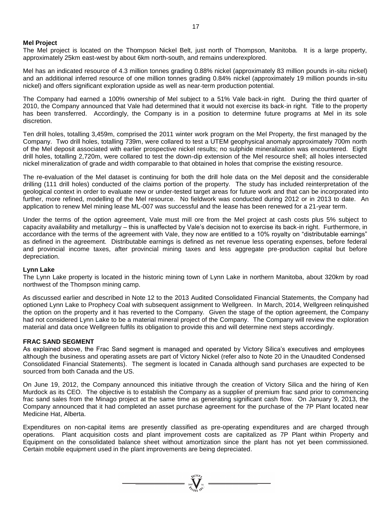#### **Mel Project**

The Mel project is located on the Thompson Nickel Belt, just north of Thompson, Manitoba. It is a large property, approximately 25km east-west by about 6km north-south, and remains underexplored.

Mel has an indicated resource of 4.3 million tonnes grading 0.88% nickel (approximately 83 million pounds in-situ nickel) and an additional inferred resource of one million tonnes grading 0.84% nickel (approximately 19 million pounds in-situ nickel) and offers significant exploration upside as well as near-term production potential.

The Company had earned a 100% ownership of Mel subject to a 51% Vale back-in right. During the third quarter of 2010, the Company announced that Vale had determined that it would not exercise its back-in right. Title to the property has been transferred. Accordingly, the Company is in a position to determine future programs at Mel in its sole discretion.

Ten drill holes, totalling 3,459m, comprised the 2011 winter work program on the Mel Property, the first managed by the Company. Two drill holes, totalling 739m, were collared to test a UTEM geophysical anomaly approximately 700m north of the Mel deposit associated with earlier prospective nickel results; no sulphide mineralization was encountered. Eight drill holes, totalling 2,720m, were collared to test the down-dip extension of the Mel resource shell; all holes intersected nickel mineralization of grade and width comparable to that obtained in holes that comprise the existing resource.

The re-evaluation of the Mel dataset is continuing for both the drill hole data on the Mel deposit and the considerable drilling (111 drill holes) conducted of the claims portion of the property. The study has included reinterpretation of the geological context in order to evaluate new or under-tested target areas for future work and that can be incorporated into further, more refined, modelling of the Mel resource. No fieldwork was conducted during 2012 or in 2013 to date. An application to renew Mel mining lease ML-007 was successful and the lease has been renewed for a 21-year term.

Under the terms of the option agreement, Vale must mill ore from the Mel project at cash costs plus 5% subject to capacity availability and metallurgy – this is unaffected by Vale's decision not to exercise its back-in right. Furthermore, in accordance with the terms of the agreement with Vale, they now are entitled to a 10% royalty on "distributable earnings" as defined in the agreement. Distributable earnings is defined as net revenue less operating expenses, before federal and provincial income taxes, after provincial mining taxes and less aggregate pre-production capital but before depreciation.

#### **Lynn Lake**

The Lynn Lake property is located in the historic mining town of Lynn Lake in northern Manitoba, about 320km by road northwest of the Thompson mining camp.

As discussed earlier and described in Note 12 to the 2013 Audited Consolidated Financial Statements, the Company had optioned Lynn Lake to Prophecy Coal with subsequent assignment to Wellgreen. In March, 2014, Wellgreen relinquished the option on the property and it has reverted to the Company. Given the stage of the option agreement, the Company had not considered Lynn Lake to be a material mineral project of the Company. The Company will review the exploration material and data once Wellgreen fulfils its obligation to provide this and will determine next steps accordingly.

### **FRAC SAND SEGMENT**

As explained above, the Frac Sand segment is managed and operated by Victory Silica's executives and employees although the business and operating assets are part of Victory Nickel (refer also to Note 20 in the Unaudited Condensed Consolidated Financial Statements). The segment is located in Canada although sand purchases are expected to be sourced from both Canada and the US.

On June 19, 2012, the Company announced this initiative through the creation of Victory Silica and the hiring of Ken Murdock as its CEO. The objective is to establish the Company as a supplier of premium frac sand prior to commencing frac sand sales from the Minago project at the same time as generating significant cash flow. On January 9, 2013, the Company announced that it had completed an asset purchase agreement for the purchase of the 7P Plant located near Medicine Hat, Alberta.

Expenditures on non-capital items are presently classified as pre-operating expenditures and are charged through operations. Plant acquisition costs and plant improvement costs are capitalized as 7P Plant within Property and Equipment on the consolidated balance sheet without amortization since the plant has not yet been commissioned. Certain mobile equipment used in the plant improvements are being depreciated.

 $= \sum_{2007}^{31(10)} \sum_{N=1}^{N}$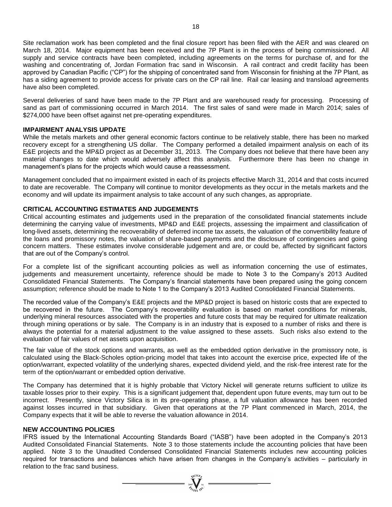Site reclamation work has been completed and the final closure report has been filed with the AER and was cleared on March 18, 2014. Major equipment has been received and the 7P Plant is in the process of being commissioned. All supply and service contracts have been completed, including agreements on the terms for purchase of, and for the washing and concentrating of, Jordan Formation frac sand in Wisconsin. A rail contract and credit facility has been approved by Canadian Pacific ("CP") for the shipping of concentrated sand from Wisconsin for finishing at the 7P Plant, as has a siding agreement to provide access for private cars on the CP rail line. Rail car leasing and transload agreements have also been completed.

Several deliveries of sand have been made to the 7P Plant and are warehoused ready for processing. Processing of sand as part of commissioning occurred in March 2014. The first sales of sand were made in March 2014; sales of \$274,000 have been offset against net pre-operating expenditures.

# **IMPAIRMENT ANALYSIS UPDATE**

While the metals markets and other general economic factors continue to be relatively stable, there has been no marked recovery except for a strengthening US dollar. The Company performed a detailed impairment analysis on each of its E&E projects and the MP&D project as at December 31, 2013. The Company does not believe that there have been any material changes to date which would adversely affect this analysis. Furthermore there has been no change in management's plans for the projects which would cause a reassessment.

Management concluded that no impairment existed in each of its projects effective March 31, 2014 and that costs incurred to date are recoverable. The Company will continue to monitor developments as they occur in the metals markets and the economy and will update its impairment analysis to take account of any such changes, as appropriate.

# **CRITICAL ACCOUNTING ESTIMATES AND JUDGEMENTS**

Critical accounting estimates and judgements used in the preparation of the consolidated financial statements include determining the carrying value of investments, MP&D and E&E projects, assessing the impairment and classification of long-lived assets, determining the recoverability of deferred income tax assets, the valuation of the convertibility feature of the loans and promissory notes, the valuation of share-based payments and the disclosure of contingencies and going concern matters. These estimates involve considerable judgement and are, or could be, affected by significant factors that are out of the Company's control.

For a complete list of the significant accounting policies as well as information concerning the use of estimates, judgements and measurement uncertainty, reference should be made to Note 3 to the Company's 2013 Audited Consolidated Financial Statements. The Company's financial statements have been prepared using the going concern assumption; reference should be made to Note 1 to the Company's 2013 Audited Consolidated Financial Statements.

The recorded value of the Company's E&E projects and the MP&D project is based on historic costs that are expected to be recovered in the future. The Company's recoverability evaluation is based on market conditions for minerals, underlying mineral resources associated with the properties and future costs that may be required for ultimate realization through mining operations or by sale. The Company is in an industry that is exposed to a number of risks and there is always the potential for a material adjustment to the value assigned to these assets. Such risks also extend to the evaluation of fair values of net assets upon acquisition.

The fair value of the stock options and warrants, as well as the embedded option derivative in the promissory note, is calculated using the Black-Scholes option-pricing model that takes into account the exercise price, expected life of the option/warrant, expected volatility of the underlying shares, expected dividend yield, and the risk-free interest rate for the term of the option/warrant or embedded option derivative.

The Company has determined that it is highly probable that Victory Nickel will generate returns sufficient to utilize its taxable losses prior to their expiry. This is a significant judgement that, dependent upon future events, may turn out to be incorrect. Presently, since Victory Silica is in its pre-operating phase, a full valuation allowance has been recorded against losses incurred in that subsidiary. Given that operations at the 7P Plant commenced in March, 2014, the Company expects that it will be able to reverse the valuation allowance in 2014.

### **NEW ACCOUNTING POLICIES**

IFRS issued by the International Accounting Standards Board ("IASB") have been adopted in the Company's 2013 Audited Consolidated Financial Statements. Note 3 to those statements include the accounting policies that have been applied. Note 3 to the Unaudited Condensed Consolidated Financial Statements includes new accounting policies required for transactions and balances which have arisen from changes in the Company's activities – particularly in relation to the frac sand business.

 $\sum_{\substack{\text{2007}}{\mathcal{H}^{(10\beta)}}}^{\text{NU10}}$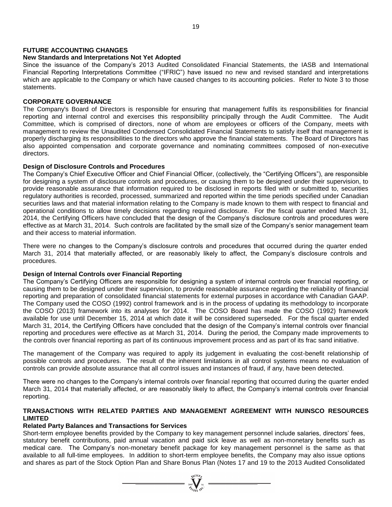## **FUTURE ACCOUNTING CHANGES**

#### **New Standards and Interpretations Not Yet Adopted**

Since the issuance of the Company's 2013 Audited Consolidated Financial Statements, the IASB and International Financial Reporting Interpretations Committee ("IFRIC") have issued no new and revised standard and interpretations which are applicable to the Company or which have caused changes to its accounting policies. Refer to Note 3 to those statements.

# **CORPORATE GOVERNANCE**

The Company's Board of Directors is responsible for ensuring that management fulfils its responsibilities for financial reporting and internal control and exercises this responsibility principally through the Audit Committee. The Audit Committee, which is comprised of directors, none of whom are employees or officers of the Company, meets with management to review the Unaudited Condensed Consolidated Financial Statements to satisfy itself that management is properly discharging its responsibilities to the directors who approve the financial statements. The Board of Directors has also appointed compensation and corporate governance and nominating committees composed of non-executive directors.

#### **Design of Disclosure Controls and Procedures**

The Company's Chief Executive Officer and Chief Financial Officer, (collectively, the "Certifying Officers"), are responsible for designing a system of disclosure controls and procedures, or causing them to be designed under their supervision, to provide reasonable assurance that information required to be disclosed in reports filed with or submitted to, securities regulatory authorities is recorded, processed, summarized and reported within the time periods specified under Canadian securities laws and that material information relating to the Company is made known to them with respect to financial and operational conditions to allow timely decisions regarding required disclosure. For the fiscal quarter ended March 31, 2014, the Certifying Officers have concluded that the design of the Company's disclosure controls and procedures were effective as at March 31, 2014. Such controls are facilitated by the small size of the Company's senior management team and their access to material information.

There were no changes to the Company's disclosure controls and procedures that occurred during the quarter ended March 31, 2014 that materially affected, or are reasonably likely to affect, the Company's disclosure controls and procedures.

#### **Design of Internal Controls over Financial Reporting**

The Company's Certifying Officers are responsible for designing a system of internal controls over financial reporting, or causing them to be designed under their supervision, to provide reasonable assurance regarding the reliability of financial reporting and preparation of consolidated financial statements for external purposes in accordance with Canadian GAAP. The Company used the COSO (1992) control framework and is in the process of updating its methodology to incorporate the COSO (2013) framework into its analyses for 2014. The COSO Board has made the COSO (1992) framework available for use until December 15, 2014 at which date it will be considered superseded. For the fiscal quarter ended March 31, 2014, the Certifying Officers have concluded that the design of the Company's internal controls over financial reporting and procedures were effective as at March 31, 2014. During the period, the Company made improvements to the controls over financial reporting as part of its continuous improvement process and as part of its frac sand initiative.

The management of the Company was required to apply its judgement in evaluating the cost-benefit relationship of possible controls and procedures. The result of the inherent limitations in all control systems means no evaluation of controls can provide absolute assurance that all control issues and instances of fraud, if any, have been detected.

There were no changes to the Company's internal controls over financial reporting that occurred during the quarter ended March 31, 2014 that materially affected, or are reasonably likely to affect, the Company's internal controls over financial reporting.

### **TRANSACTIONS WITH RELATED PARTIES AND MANAGEMENT AGREEMENT WITH NUINSCO RESOURCES LIMITED**

### **Related Party Balances and Transactions for Services**

Short-term employee benefits provided by the Company to key management personnel include salaries, directors' fees, statutory benefit contributions, paid annual vacation and paid sick leave as well as non-monetary benefits such as medical care. The Company's non-monetary benefit package for key management personnel is the same as that available to all full-time employees. In addition to short-term employee benefits, the Company may also issue options and shares as part of the Stock Option Plan and Share Bonus Plan (Notes 17 and 19 to the 2013 Audited Consolidated

 $\overbrace{\qquad \qquad }^{\text{NUCB}}_{\text{2007}}\overbrace{\qquad \qquad }^{\text{NUCB}}_{\text{NCE}}\qquad \qquad \overbrace{\qquad \qquad }^{\text{NUCB}}$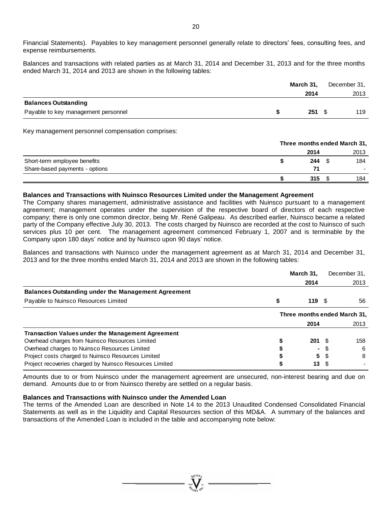Financial Statements). Payables to key management personnel generally relate to directors' fees, consulting fees, and expense reimbursements.

Balances and transactions with related parties as at March 31, 2014 and December 31, 2013 and for the three months ended March 31, 2014 and 2013 are shown in the following tables:

|                                     | March 31, | December 31, |
|-------------------------------------|-----------|--------------|
|                                     | 2014      | 2013         |
| <b>Balances Outstanding</b>         |           |              |
| Payable to key management personnel | 251       | 119          |

Key management personnel compensation comprises:

|                                |                | Three months ended March 31, |  |  |  |
|--------------------------------|----------------|------------------------------|--|--|--|
|                                | 2014           | 2013                         |  |  |  |
| Short-term employee benefits   | $244 \quad$ \$ | 184                          |  |  |  |
| Share-based payments - options | 71             |                              |  |  |  |
|                                | 315            | 184                          |  |  |  |

#### **Balances and Transactions with Nuinsco Resources Limited under the Management Agreement**

The Company shares management, administrative assistance and facilities with Nuinsco pursuant to a management agreement; management operates under the supervision of the respective board of directors of each respective company; there is only one common director, being Mr. René Galipeau. As described earlier, Nuinsco became a related party of the Company effective July 30, 2013. The costs charged by Nuinsco are recorded at the cost to Nuinsco of such services plus 10 per cent. The management agreement commenced February 1, 2007 and is terminable by the Company upon 180 days' notice and by Nuinsco upon 90 days' notice.

Balances and transactions with Nuinsco under the management agreement as at March 31, 2014 and December 31, 2013 and for the three months ended March 31, 2014 and 2013 are shown in the following tables:

|                                                            | March 31,   |    | December 31,                 |
|------------------------------------------------------------|-------------|----|------------------------------|
|                                                            | 2014        |    | 2013                         |
| <b>Balances Outstanding under the Management Agreement</b> |             |    |                              |
| Payable to Nuinsco Resources Limited                       | 119         |    | 56                           |
|                                                            |             |    | Three months ended March 31, |
|                                                            | 2014        |    | 2013                         |
| <b>Transaction Values under the Management Agreement</b>   |             |    |                              |
| Overhead charges from Nuinsco Resources Limited            | $201 \t{S}$ |    | 158                          |
| Overhead charges to Nuinsco Resources Limited              | ۰.          |    | -6                           |
| Project costs charged to Nuinsco Resources Limited         |             | 5S | 8                            |
| Project recoveries charged by Nuinsco Resources Limited    | 13          |    |                              |

Amounts due to or from Nuinsco under the management agreement are unsecured, non-interest bearing and due on demand. Amounts due to or from Nuinsco thereby are settled on a regular basis.

#### **Balances and Transactions with Nuinsco under the Amended Loan**

The terms of the Amended Loan are described in Note 14 to the 2013 Unaudited Condensed Consolidated Financial Statements as well as in the Liquidity and Capital Resources section of this MD&A. A summary of the balances and transactions of the Amended Loan is included in the table and accompanying note below: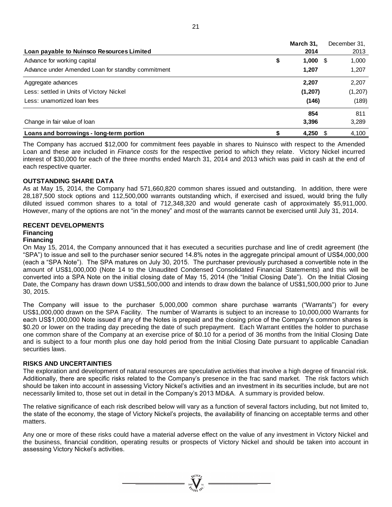|                                                   | March 31,   | December 31, |
|---------------------------------------------------|-------------|--------------|
| Loan payable to Nuinsco Resources Limited         | 2014        | 2013         |
| Advance for working capital                       | \$<br>1,000 | 1,000<br>- S |
| Advance under Amended Loan for standby commitment | 1.207       | 1,207        |
| Aggregate advances                                | 2,207       | 2,207        |
| Less: settled in Units of Victory Nickel          | (1, 207)    | (1, 207)     |
| Less: unamortized loan fees                       | (146)       | (189)        |
|                                                   | 854         | 811          |
| Change in fair value of loan                      | 3,396       | 3,289        |
| Loans and borrowings - long-term portion          | 4,250       | 4.100        |

The Company has accrued \$12,000 for commitment fees payable in shares to Nuinsco with respect to the Amended Loan and these are included in *Finance costs* for the respective period to which they relate. Victory Nickel incurred interest of \$30,000 for each of the three months ended March 31, 2014 and 2013 which was paid in cash at the end of each respective quarter.

### **OUTSTANDING SHARE DATA**

As at May 15, 2014, the Company had 571,660,820 common shares issued and outstanding. In addition, there were 28,187,500 stock options and 112,500,000 warrants outstanding which, if exercised and issued, would bring the fully diluted issued common shares to a total of 712,348,320 and would generate cash of approximately \$5,911,000. However, many of the options are not "in the money" and most of the warrants cannot be exercised until July 31, 2014.

#### **RECENT DEVELOPMENTS Financing**

# **Financing**

On May 15, 2014, the Company announced that it has executed a securities purchase and line of credit agreement (the "SPA") to issue and sell to the purchaser senior secured 14.8% notes in the aggregate principal amount of US\$4,000,000 (each a "SPA Note"). The SPA matures on July 30, 2015. The purchaser previously purchased a convertible note in the amount of US\$1,000,000 (Note 14 to the Unaudited Condensed Consolidated Financial Statements) and this will be converted into a SPA Note on the initial closing date of May 15, 2014 (the "Initial Closing Date"). On the Initial Closing Date, the Company has drawn down US\$1,500,000 and intends to draw down the balance of US\$1,500,000 prior to June 30, 2015.

The Company will issue to the purchaser 5,000,000 common share purchase warrants ("Warrants") for every US\$1,000,000 drawn on the SPA Facility. The number of Warrants is subject to an increase to 10,000,000 Warrants for each US\$1,000,000 Note issued if any of the Notes is prepaid and the closing price of the Company's common shares is \$0.20 or lower on the trading day preceding the date of such prepayment. Each Warrant entitles the holder to purchase one common share of the Company at an exercise price of \$0.10 for a period of 36 months from the Initial Closing Date and is subject to a four month plus one day hold period from the Initial Closing Date pursuant to applicable Canadian securities laws.

### **RISKS AND UNCERTAINTIES**

The exploration and development of natural resources are speculative activities that involve a high degree of financial risk. Additionally, there are specific risks related to the Company's presence in the frac sand market. The risk factors which should be taken into account in assessing Victory Nickel's activities and an investment in its securities include, but are not necessarily limited to, those set out in detail in the Company's 2013 MD&A. A summary is provided below.

The relative significance of each risk described below will vary as a function of several factors including, but not limited to, the state of the economy, the stage of Victory Nickel's projects, the availability of financing on acceptable terms and other matters.

Any one or more of these risks could have a material adverse effect on the value of any investment in Victory Nickel and the business, financial condition, operating results or prospects of Victory Nickel and should be taken into account in assessing Victory Nickel's activities.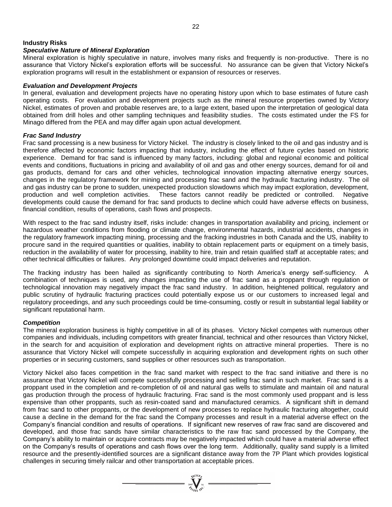# **Industry Risks**

### *Speculative Nature of Mineral Exploration*

Mineral exploration is highly speculative in nature, involves many risks and frequently is non-productive. There is no assurance that Victory Nickel's exploration efforts will be successful. No assurance can be given that Victory Nickel's exploration programs will result in the establishment or expansion of resources or reserves.

#### *Evaluation and Development Projects*

In general, evaluation and development projects have no operating history upon which to base estimates of future cash operating costs. For evaluation and development projects such as the mineral resource properties owned by Victory Nickel, estimates of proven and probable reserves are, to a large extent, based upon the interpretation of geological data obtained from drill holes and other sampling techniques and feasibility studies. The costs estimated under the FS for Minago differed from the PEA and may differ again upon actual development.

### *Frac Sand Industry*

Frac sand processing is a new business for Victory Nickel. The industry is closely linked to the oil and gas industry and is therefore affected by economic factors impacting that industry, including the effect of future cycles based on historic experience. Demand for frac sand is influenced by many factors, including: global and regional economic and political events and conditions, fluctuations in pricing and availability of oil and gas and other energy sources, demand for oil and gas products, demand for cars and other vehicles, technological innovation impacting alternative energy sources, changes in the regulatory framework for mining and processing frac sand and the hydraulic fracturing industry. The oil and gas industry can be prone to sudden, unexpected production slowdowns which may impact exploration, development, production and well completion activities. These factors cannot readily be predicted or controlled. Negative developments could cause the demand for frac sand products to decline which could have adverse effects on business, financial condition, results of operations, cash flows and prospects.

With respect to the frac sand industry itself, risks include: changes in transportation availability and pricing, inclement or hazardous weather conditions from flooding or climate change, environmental hazards, industrial accidents, changes in the regulatory framework impacting mining, processing and the fracking industries in both Canada and the US, inability to procure sand in the required quantities or qualities, inability to obtain replacement parts or equipment on a timely basis, reduction in the availability of water for processing, inability to hire, train and retain qualified staff at acceptable rates; and other technical difficulties or failures. Any prolonged downtime could impact deliveries and reputation.

The fracking industry has been hailed as significantly contributing to North America's energy self-sufficiency. A combination of techniques is used, any changes impacting the use of frac sand as a proppant through regulation or technological innovation may negatively impact the frac sand industry. In addition, heightened political, regulatory and public scrutiny of hydraulic fracturing practices could potentially expose us or our customers to increased legal and regulatory proceedings, and any such proceedings could be time-consuming, costly or result in substantial legal liability or significant reputational harm.

### *Competition*

The mineral exploration business is highly competitive in all of its phases. Victory Nickel competes with numerous other companies and individuals, including competitors with greater financial, technical and other resources than Victory Nickel, in the search for and acquisition of exploration and development rights on attractive mineral properties. There is no assurance that Victory Nickel will compete successfully in acquiring exploration and development rights on such other properties or in securing customers, sand supplies or other resources such as transportation.

Victory Nickel also faces competition in the frac sand market with respect to the frac sand initiative and there is no assurance that Victory Nickel will compete successfully processing and selling frac sand in such market. Frac sand is a proppant used in the completion and re-completion of oil and natural gas wells to stimulate and maintain oil and natural gas production through the process of hydraulic fracturing. Frac sand is the most commonly used proppant and is less expensive than other proppants, such as resin-coated sand and manufactured ceramics. A significant shift in demand from frac sand to other proppants, or the development of new processes to replace hydraulic fracturing altogether, could cause a decline in the demand for the frac sand the Company processes and result in a material adverse effect on the Company's financial condition and results of operations. If significant new reserves of raw frac sand are discovered and developed, and those frac sands have similar characteristics to the raw frac sand processed by the Company, the Company's ability to maintain or acquire contracts may be negatively impacted which could have a material adverse effect on the Company's results of operations and cash flows over the long term. Additionally, quality sand supply is a limited resource and the presently-identified sources are a significant distance away from the 7P Plant which provides logistical challenges in securing timely railcar and other transportation at acceptable prices.

 $\sum_{\mathcal{U}^{(10)}= \mathcal{U}^{(10)}}$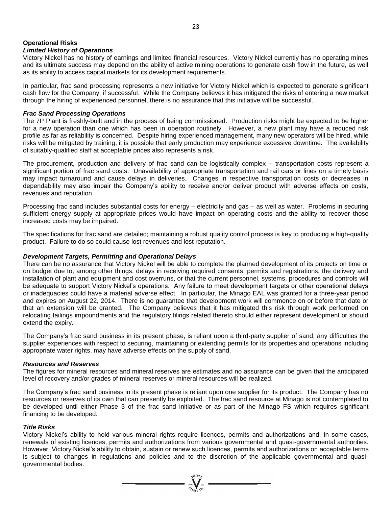# **Operational Risks**

# *Limited History of Operations*

Victory Nickel has no history of earnings and limited financial resources. Victory Nickel currently has no operating mines and its ultimate success may depend on the ability of active mining operations to generate cash flow in the future, as well as its ability to access capital markets for its development requirements.

In particular, frac sand processing represents a new initiative for Victory Nickel which is expected to generate significant cash flow for the Company, if successful. While the Company believes it has mitigated the risks of entering a new market through the hiring of experienced personnel, there is no assurance that this initiative will be successful.

### *Frac Sand Processing Operations*

The 7P Plant is freshly-built and in the process of being commissioned. Production risks might be expected to be higher for a new operation than one which has been in operation routinely. However, a new plant may have a reduced risk profile as far as reliability is concerned. Despite hiring experienced management, many new operators will be hired, while risks will be mitigated by training, it is possible that early production may experience excessive downtime. The availability of suitably-qualified staff at acceptable prices also represents a risk.

The procurement, production and delivery of frac sand can be logistically complex – transportation costs represent a significant portion of frac sand costs. Unavailability of appropriate transportation and rail cars or lines on a timely basis may impact turnaround and cause delays in deliveries. Changes in respective transportation costs or decreases in dependability may also impair the Company's ability to receive and/or deliver product with adverse effects on costs, revenues and reputation.

Processing frac sand includes substantial costs for energy – electricity and gas – as well as water. Problems in securing sufficient energy supply at appropriate prices would have impact on operating costs and the ability to recover those increased costs may be impaired.

The specifications for frac sand are detailed; maintaining a robust quality control process is key to producing a high-quality product. Failure to do so could cause lost revenues and lost reputation.

#### *Development Targets, Permitting and Operational Delays*

There can be no assurance that Victory Nickel will be able to complete the planned development of its projects on time or on budget due to, among other things, delays in receiving required consents, permits and registrations, the delivery and installation of plant and equipment and cost overruns, or that the current personnel, systems, procedures and controls will be adequate to support Victory Nickel's operations. Any failure to meet development targets or other operational delays or inadequacies could have a material adverse effect. In particular, the Minago EAL was granted for a three-year period and expires on August 22, 2014. There is no guarantee that development work will commence on or before that date or that an extension will be granted. The Company believes that it has mitigated this risk through work performed on relocating tailings impoundments and the regulatory filings related thereto should either represent development or should extend the expiry.

The Company's frac sand business in its present phase, is reliant upon a third-party supplier of sand; any difficulties the supplier experiences with respect to securing, maintaining or extending permits for its properties and operations including appropriate water rights, may have adverse effects on the supply of sand.

#### *Resources and Reserves*

The figures for mineral resources and mineral reserves are estimates and no assurance can be given that the anticipated level of recovery and/or grades of mineral reserves or mineral resources will be realized.

The Company's frac sand business in its present phase is reliant upon one supplier for its product. The Company has no resources or reserves of its own that can presently be exploited. The frac sand resource at Minago is not contemplated to be developed until either Phase 3 of the frac sand initiative or as part of the Minago FS which requires significant financing to be developed.

#### *Title Risks*

Victory Nickel's ability to hold various mineral rights require licences, permits and authorizations and, in some cases, renewals of existing licences, permits and authorizations from various governmental and quasi-governmental authorities. However, Victory Nickel's ability to obtain, sustain or renew such licences, permits and authorizations on acceptable terms is subject to changes in regulations and policies and to the discretion of the applicable governmental and quasigovernmental bodies.

 $=\sum_{\genfrac{}{}{0pt}{}{3007}{\sqrt{1000}}{N\choose 0\in\mathbb{N}}}^{\sqrt{1000}}$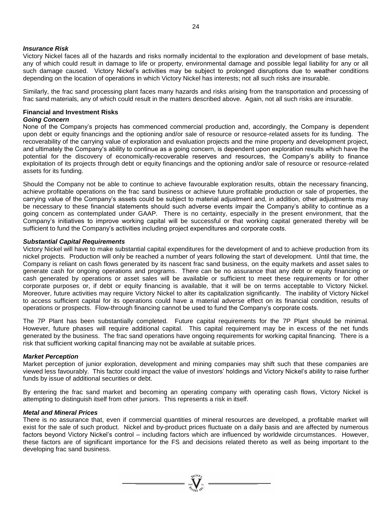#### *Insurance Risk*

Victory Nickel faces all of the hazards and risks normally incidental to the exploration and development of base metals, any of which could result in damage to life or property, environmental damage and possible legal liability for any or all such damage caused. Victory Nickel's activities may be subject to prolonged disruptions due to weather conditions depending on the location of operations in which Victory Nickel has interests; not all such risks are insurable.

Similarly, the frac sand processing plant faces many hazards and risks arising from the transportation and processing of frac sand materials, any of which could result in the matters described above. Again, not all such risks are insurable.

# **Financial and Investment Risks**

# *Going Concern*

None of the Company's projects has commenced commercial production and, accordingly, the Company is dependent upon debt or equity financings and the optioning and/or sale of resource or resource-related assets for its funding. The recoverability of the carrying value of exploration and evaluation projects and the mine property and development project, and ultimately the Company's ability to continue as a going concern, is dependent upon exploration results which have the potential for the discovery of economically-recoverable reserves and resources, the Company's ability to finance exploitation of its projects through debt or equity financings and the optioning and/or sale of resource or resource-related assets for its funding.

Should the Company not be able to continue to achieve favourable exploration results, obtain the necessary financing, achieve profitable operations on the frac sand business or achieve future profitable production or sale of properties, the carrying value of the Company's assets could be subject to material adjustment and, in addition, other adjustments may be necessary to these financial statements should such adverse events impair the Company's ability to continue as a going concern as contemplated under GAAP. There is no certainty, especially in the present environment, that the Company's initiatives to improve working capital will be successful or that working capital generated thereby will be sufficient to fund the Company's activities including project expenditures and corporate costs.

#### *Substantial Capital Requirements*

Victory Nickel will have to make substantial capital expenditures for the development of and to achieve production from its nickel projects. Production will only be reached a number of years following the start of development. Until that time, the Company is reliant on cash flows generated by its nascent frac sand business, on the equity markets and asset sales to generate cash for ongoing operations and programs. There can be no assurance that any debt or equity financing or cash generated by operations or asset sales will be available or sufficient to meet these requirements or for other corporate purposes or, if debt or equity financing is available, that it will be on terms acceptable to Victory Nickel. Moreover, future activities may require Victory Nickel to alter its capitalization significantly. The inability of Victory Nickel to access sufficient capital for its operations could have a material adverse effect on its financial condition, results of operations or prospects. Flow-through financing cannot be used to fund the Company's corporate costs.

The 7P Plant has been substantially completed. Future capital requirements for the 7P Plant should be minimal. However, future phases will require additional capital. This capital requirement may be in excess of the net funds generated by the business. The frac sand operations have ongoing requirements for working capital financing. There is a risk that sufficient working capital financing may not be available at suitable prices.

#### *Market Perception*

Market perception of junior exploration, development and mining companies may shift such that these companies are viewed less favourably. This factor could impact the value of investors' holdings and Victory Nickel's ability to raise further funds by issue of additional securities or debt.

By entering the frac sand market and becoming an operating company with operating cash flows, Victory Nickel is attempting to distinguish itself from other juniors. This represents a risk in itself.

#### *Metal and Mineral Prices*

There is no assurance that, even if commercial quantities of mineral resources are developed, a profitable market will exist for the sale of such product. Nickel and by-product prices fluctuate on a daily basis and are affected by numerous factors beyond Victory Nickel's control – including factors which are influenced by worldwide circumstances. However, these factors are of significant importance for the FS and decisions related thereto as well as being important to the developing frac sand business.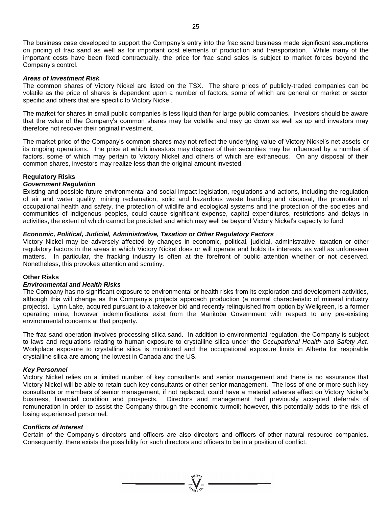The business case developed to support the Company's entry into the frac sand business made significant assumptions on pricing of frac sand as well as for important cost elements of production and transportation. While many of the important costs have been fixed contractually, the price for frac sand sales is subject to market forces beyond the Company's control.

#### *Areas of Investment Risk*

The common shares of Victory Nickel are listed on the TSX. The share prices of publicly-traded companies can be volatile as the price of shares is dependent upon a number of factors, some of which are general or market or sector specific and others that are specific to Victory Nickel.

The market for shares in small public companies is less liquid than for large public companies. Investors should be aware that the value of the Company's common shares may be volatile and may go down as well as up and investors may therefore not recover their original investment.

The market price of the Company's common shares may not reflect the underlying value of Victory Nickel's net assets or its ongoing operations. The price at which investors may dispose of their securities may be influenced by a number of factors, some of which may pertain to Victory Nickel and others of which are extraneous. On any disposal of their common shares, investors may realize less than the original amount invested.

#### **Regulatory Risks**

#### *Government Regulation*

Existing and possible future environmental and social impact legislation, regulations and actions, including the regulation of air and water quality, mining reclamation, solid and hazardous waste handling and disposal, the promotion of occupational health and safety, the protection of wildlife and ecological systems and the protection of the societies and communities of indigenous peoples, could cause significant expense, capital expenditures, restrictions and delays in activities, the extent of which cannot be predicted and which may well be beyond Victory Nickel's capacity to fund.

#### *Economic, Political, Judicial, Administrative, Taxation or Other Regulatory Factors*

Victory Nickel may be adversely affected by changes in economic, political, judicial, administrative, taxation or other regulatory factors in the areas in which Victory Nickel does or will operate and holds its interests, as well as unforeseen matters. In particular, the fracking industry is often at the forefront of public attention whether or not deserved. Nonetheless, this provokes attention and scrutiny.

### **Other Risks**

#### *Environmental and Health Risks*

The Company has no significant exposure to environmental or health risks from its exploration and development activities, although this will change as the Company's projects approach production (a normal characteristic of mineral industry projects). Lynn Lake, acquired pursuant to a takeover bid and recently relinquished from option by Wellgreen, is a former operating mine; however indemnifications exist from the Manitoba Government with respect to any pre-existing environmental concerns at that property.

The frac sand operation involves processing silica sand. In addition to environmental regulation, the Company is subject to laws and regulations relating to human exposure to crystalline silica under the *Occupational Health and Safety Act*. Workplace exposure to crystalline silica is monitored and the occupational exposure limits in Alberta for respirable crystalline silica are among the lowest in Canada and the US.

#### *Key Personnel*

Victory Nickel relies on a limited number of key consultants and senior management and there is no assurance that Victory Nickel will be able to retain such key consultants or other senior management. The loss of one or more such key consultants or members of senior management, if not replaced, could have a material adverse effect on Victory Nickel's business, financial condition and prospects. Directors and management had previously accepted deferrals of remuneration in order to assist the Company through the economic turmoil; however, this potentially adds to the risk of losing experienced personnel.

#### *Conflicts of Interest*

Certain of the Company's directors and officers are also directors and officers of other natural resource companies. Consequently, there exists the possibility for such directors and officers to be in a position of conflict.